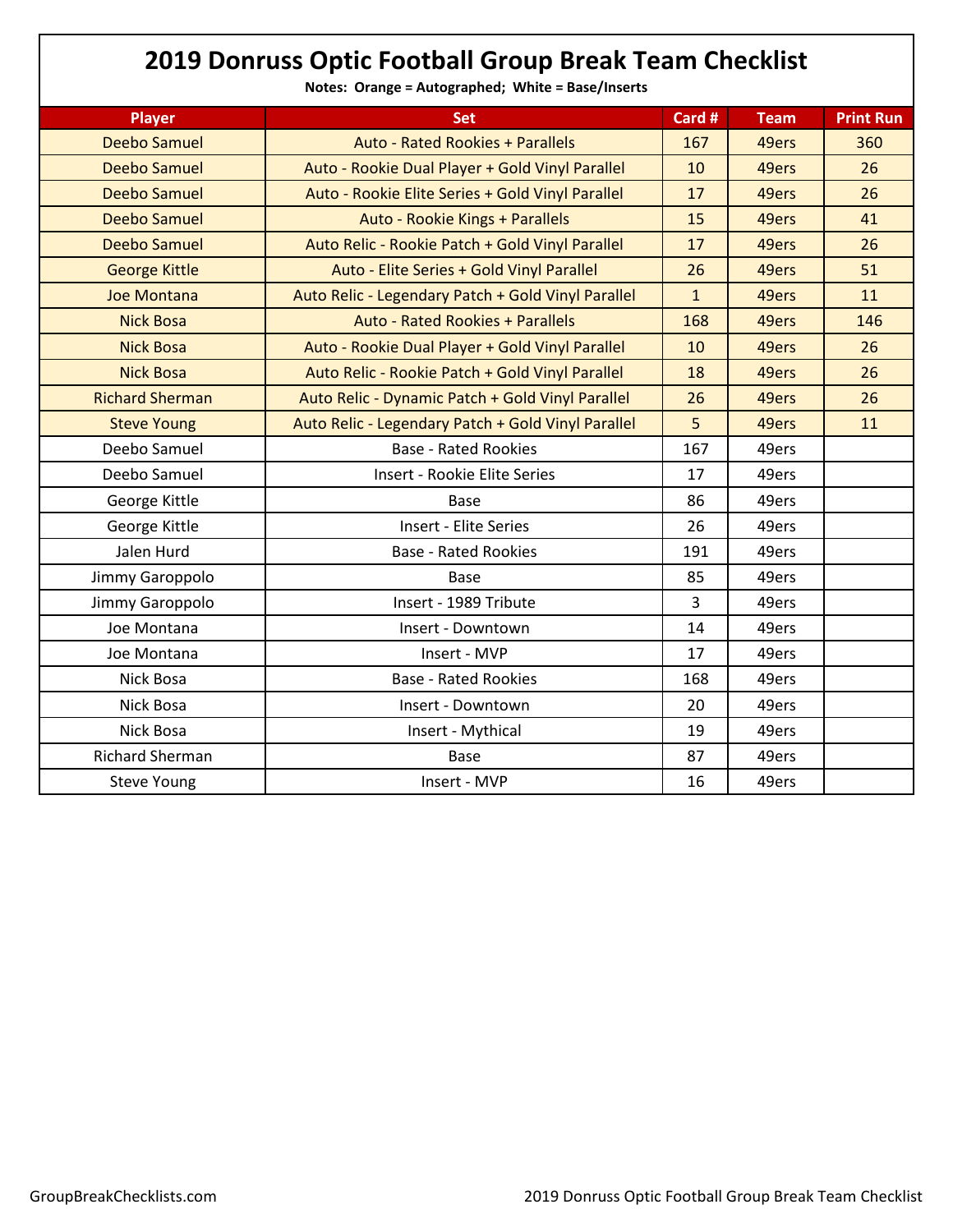## **2019 Donruss Optic Football Group Break Team Checklist**

**Notes: Orange = Autographed; White = Base/Inserts**

| <b>Player</b>          | Set                                                | Card #       | <b>Team</b> | <b>Print Run</b> |
|------------------------|----------------------------------------------------|--------------|-------------|------------------|
| <b>Deebo Samuel</b>    | <b>Auto - Rated Rookies + Parallels</b>            | 167          | 49ers       | 360              |
| <b>Deebo Samuel</b>    | Auto - Rookie Dual Player + Gold Vinyl Parallel    | 10           | 49ers       | 26               |
| Deebo Samuel           | Auto - Rookie Elite Series + Gold Vinyl Parallel   | 17           | 49ers       | 26               |
| Deebo Samuel           | Auto - Rookie Kings + Parallels                    | 15           | 49ers       | 41               |
| Deebo Samuel           | Auto Relic - Rookie Patch + Gold Vinyl Parallel    | 17           | 49ers       | 26               |
| <b>George Kittle</b>   | Auto - Elite Series + Gold Vinyl Parallel          | 26           | 49ers       | 51               |
| <b>Joe Montana</b>     | Auto Relic - Legendary Patch + Gold Vinyl Parallel | $\mathbf{1}$ | 49ers       | 11               |
| <b>Nick Bosa</b>       | <b>Auto - Rated Rookies + Parallels</b>            | 168          | 49ers       | 146              |
| <b>Nick Bosa</b>       | Auto - Rookie Dual Player + Gold Vinyl Parallel    | 10           | 49ers       | 26               |
| <b>Nick Bosa</b>       | Auto Relic - Rookie Patch + Gold Vinyl Parallel    | 18           | 49ers       | 26               |
| <b>Richard Sherman</b> | Auto Relic - Dynamic Patch + Gold Vinyl Parallel   | 26           | 49ers       | 26               |
| <b>Steve Young</b>     | Auto Relic - Legendary Patch + Gold Vinyl Parallel | 5            | 49ers       | 11               |
| Deebo Samuel           | <b>Base - Rated Rookies</b>                        | 167          | 49ers       |                  |
| Deebo Samuel           | Insert - Rookie Elite Series                       | 17           | 49ers       |                  |
| George Kittle          | Base                                               | 86           | 49ers       |                  |
| George Kittle          | Insert - Elite Series                              | 26           | 49ers       |                  |
| Jalen Hurd             | <b>Base - Rated Rookies</b>                        | 191          | 49ers       |                  |
| Jimmy Garoppolo        | <b>Base</b>                                        | 85           | 49ers       |                  |
| Jimmy Garoppolo        | Insert - 1989 Tribute                              | 3            | 49ers       |                  |
| Joe Montana            | Insert - Downtown                                  | 14           | 49ers       |                  |
| Joe Montana            | Insert - MVP                                       | 17           | 49ers       |                  |
| Nick Bosa              | <b>Base - Rated Rookies</b>                        | 168          | 49ers       |                  |
| Nick Bosa              | Insert - Downtown                                  | 20           | 49ers       |                  |
| Nick Bosa              | Insert - Mythical                                  | 19           | 49ers       |                  |
| <b>Richard Sherman</b> | Base                                               | 87           | 49ers       |                  |
| <b>Steve Young</b>     | Insert - MVP                                       | 16           | 49ers       |                  |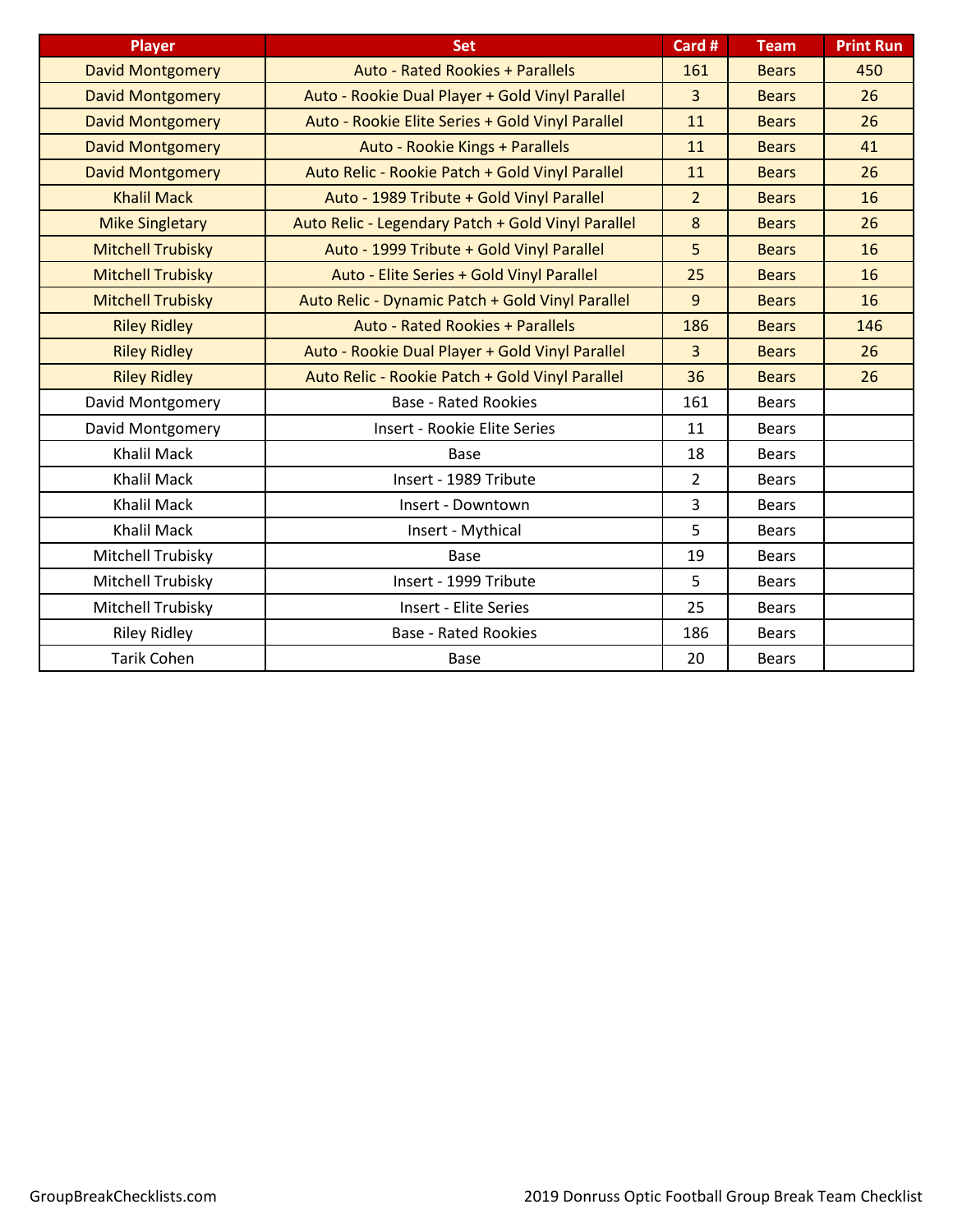| <b>Player</b>            | <b>Set</b>                                         | Card #         | <b>Team</b>  | <b>Print Run</b> |
|--------------------------|----------------------------------------------------|----------------|--------------|------------------|
| <b>David Montgomery</b>  | <b>Auto - Rated Rookies + Parallels</b>            | 161            | <b>Bears</b> | 450              |
| <b>David Montgomery</b>  | Auto - Rookie Dual Player + Gold Vinyl Parallel    | $\overline{3}$ | <b>Bears</b> | 26               |
| <b>David Montgomery</b>  | Auto - Rookie Elite Series + Gold Vinyl Parallel   | 11             | <b>Bears</b> | 26               |
| <b>David Montgomery</b>  | Auto - Rookie Kings + Parallels                    | 11             | <b>Bears</b> | 41               |
| <b>David Montgomery</b>  | Auto Relic - Rookie Patch + Gold Vinyl Parallel    | 11             | <b>Bears</b> | 26               |
| <b>Khalil Mack</b>       | Auto - 1989 Tribute + Gold Vinyl Parallel          | $\overline{2}$ | <b>Bears</b> | 16               |
| <b>Mike Singletary</b>   | Auto Relic - Legendary Patch + Gold Vinyl Parallel | 8              | <b>Bears</b> | 26               |
| <b>Mitchell Trubisky</b> | Auto - 1999 Tribute + Gold Vinyl Parallel          | 5              | <b>Bears</b> | 16               |
| <b>Mitchell Trubisky</b> | Auto - Elite Series + Gold Vinyl Parallel          | 25             | <b>Bears</b> | 16               |
| <b>Mitchell Trubisky</b> | Auto Relic - Dynamic Patch + Gold Vinyl Parallel   | 9              | <b>Bears</b> | 16               |
| <b>Riley Ridley</b>      | <b>Auto - Rated Rookies + Parallels</b>            | 186            | <b>Bears</b> | 146              |
| <b>Riley Ridley</b>      | Auto - Rookie Dual Player + Gold Vinyl Parallel    | $\overline{3}$ | <b>Bears</b> | 26               |
| <b>Riley Ridley</b>      | Auto Relic - Rookie Patch + Gold Vinyl Parallel    | 36             | <b>Bears</b> | 26               |
| David Montgomery         | <b>Base - Rated Rookies</b>                        | 161            | <b>Bears</b> |                  |
| David Montgomery         | Insert - Rookie Elite Series                       | 11             | <b>Bears</b> |                  |
| <b>Khalil Mack</b>       | Base                                               | 18             | <b>Bears</b> |                  |
| <b>Khalil Mack</b>       | Insert - 1989 Tribute                              | $\overline{2}$ | <b>Bears</b> |                  |
| <b>Khalil Mack</b>       | Insert - Downtown                                  | 3              | <b>Bears</b> |                  |
| <b>Khalil Mack</b>       | Insert - Mythical                                  | 5              | <b>Bears</b> |                  |
| Mitchell Trubisky        | <b>Base</b>                                        | 19             | <b>Bears</b> |                  |
| Mitchell Trubisky        | Insert - 1999 Tribute                              | 5              | <b>Bears</b> |                  |
| Mitchell Trubisky        | <b>Insert - Elite Series</b>                       | 25             | <b>Bears</b> |                  |
| <b>Riley Ridley</b>      | <b>Base - Rated Rookies</b>                        | 186            | <b>Bears</b> |                  |
| <b>Tarik Cohen</b>       | <b>Base</b>                                        | 20             | <b>Bears</b> |                  |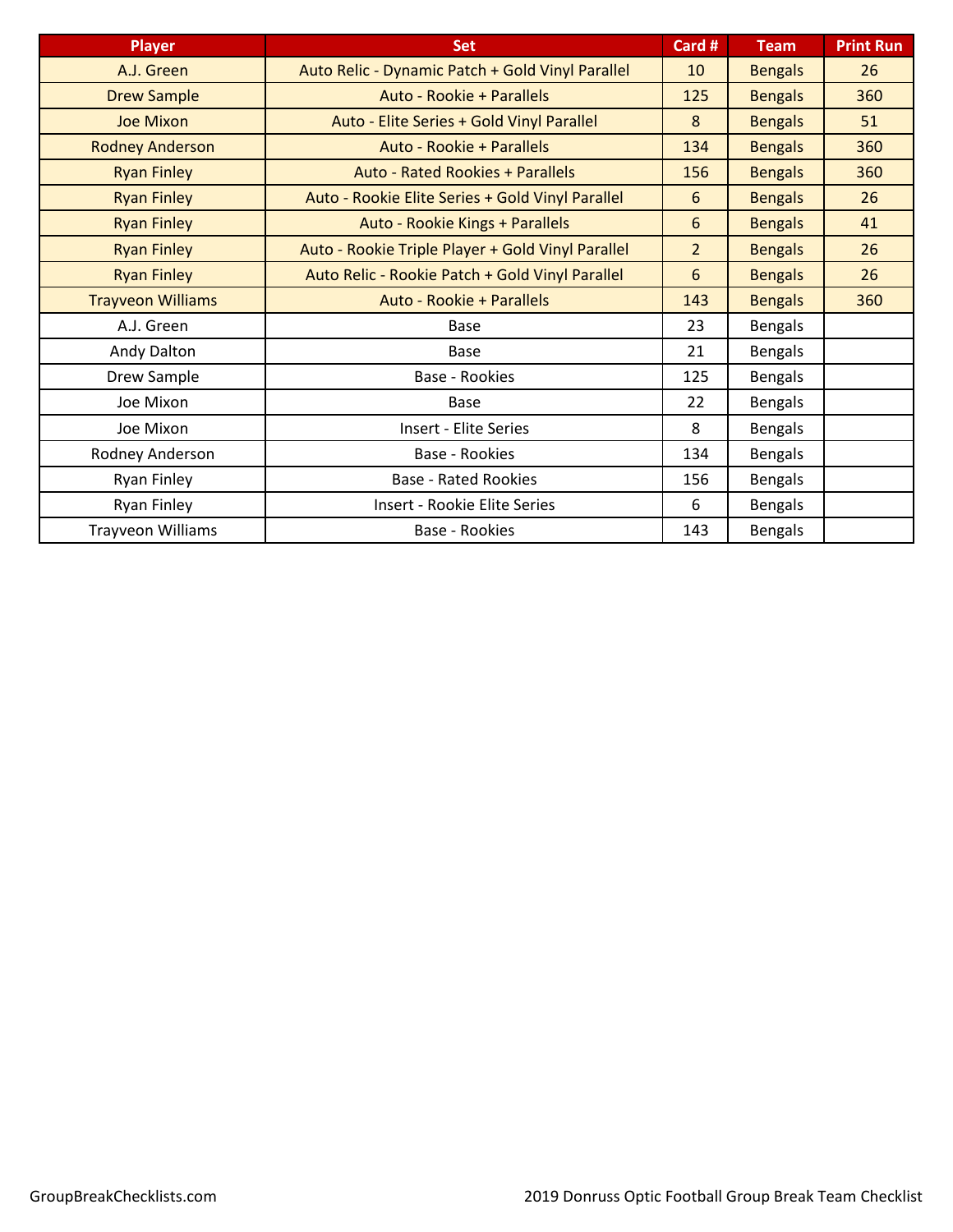| <b>Player</b>            | <b>Set</b>                                        | Card #         | <b>Team</b>    | <b>Print Run</b> |
|--------------------------|---------------------------------------------------|----------------|----------------|------------------|
| A.J. Green               | Auto Relic - Dynamic Patch + Gold Vinyl Parallel  | 10             | <b>Bengals</b> | 26               |
| <b>Drew Sample</b>       | Auto - Rookie + Parallels                         | 125            | <b>Bengals</b> | 360              |
| <b>Joe Mixon</b>         | Auto - Elite Series + Gold Vinyl Parallel         | 8              | <b>Bengals</b> | 51               |
| <b>Rodney Anderson</b>   | Auto - Rookie + Parallels                         | 134            | <b>Bengals</b> | 360              |
| <b>Ryan Finley</b>       | <b>Auto - Rated Rookies + Parallels</b>           | 156            | <b>Bengals</b> | 360              |
| <b>Ryan Finley</b>       | Auto - Rookie Elite Series + Gold Vinyl Parallel  | 6              | <b>Bengals</b> | 26               |
| <b>Ryan Finley</b>       | Auto - Rookie Kings + Parallels                   | 6              | <b>Bengals</b> | 41               |
| <b>Ryan Finley</b>       | Auto - Rookie Triple Player + Gold Vinyl Parallel | $\overline{2}$ | <b>Bengals</b> | 26               |
| <b>Ryan Finley</b>       | Auto Relic - Rookie Patch + Gold Vinyl Parallel   | 6              | <b>Bengals</b> | 26               |
| <b>Trayveon Williams</b> | Auto - Rookie + Parallels                         | 143            | <b>Bengals</b> | 360              |
| A.J. Green               | Base                                              | 23             | <b>Bengals</b> |                  |
| Andy Dalton              | <b>Base</b>                                       | 21             | <b>Bengals</b> |                  |
| Drew Sample              | Base - Rookies                                    | 125            | <b>Bengals</b> |                  |
| Joe Mixon                | Base                                              | 22             | <b>Bengals</b> |                  |
| Joe Mixon                | <b>Insert - Elite Series</b>                      | 8              | <b>Bengals</b> |                  |
| Rodney Anderson          | Base - Rookies                                    | 134            | <b>Bengals</b> |                  |
| Ryan Finley              | <b>Base - Rated Rookies</b>                       | 156            | <b>Bengals</b> |                  |
| Ryan Finley              | Insert - Rookie Elite Series                      | 6              | <b>Bengals</b> |                  |
| <b>Trayveon Williams</b> | Base - Rookies                                    | 143            | <b>Bengals</b> |                  |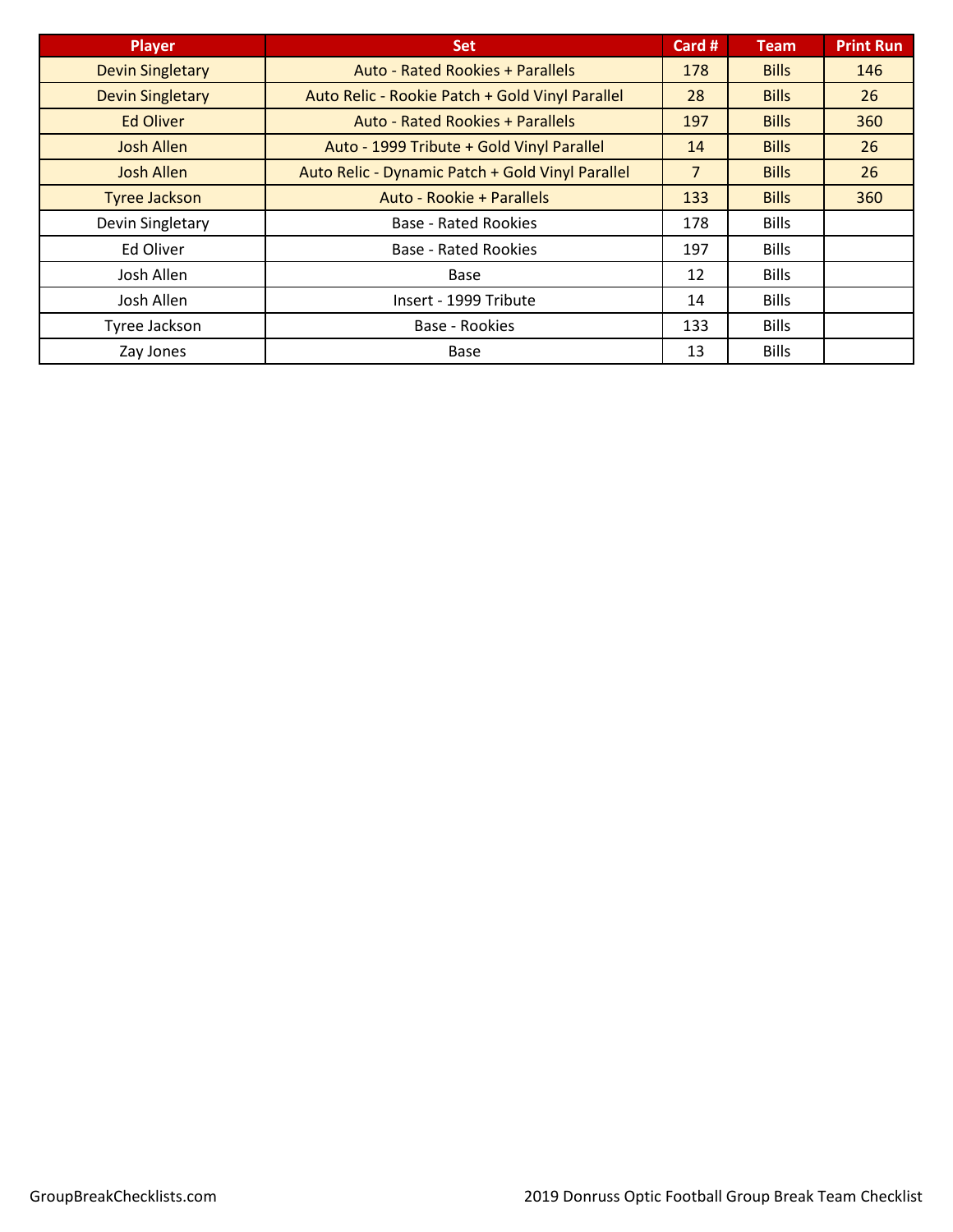| <b>Player</b>           | <b>Set</b>                                       | Card #         | Team         | <b>Print Run</b> |
|-------------------------|--------------------------------------------------|----------------|--------------|------------------|
| <b>Devin Singletary</b> | <b>Auto - Rated Rookies + Parallels</b>          | 178            | <b>Bills</b> | 146              |
| <b>Devin Singletary</b> | Auto Relic - Rookie Patch + Gold Vinyl Parallel  | 28             | <b>Bills</b> | 26               |
| <b>Ed Oliver</b>        | <b>Auto - Rated Rookies + Parallels</b>          | 197            | <b>Bills</b> | 360              |
| <b>Josh Allen</b>       | Auto - 1999 Tribute + Gold Vinyl Parallel        | 14             | <b>Bills</b> | 26               |
| Josh Allen              | Auto Relic - Dynamic Patch + Gold Vinyl Parallel | $\overline{7}$ | <b>Bills</b> | 26               |
| <b>Tyree Jackson</b>    | Auto - Rookie + Parallels                        | 133            | <b>Bills</b> | 360              |
| Devin Singletary        | <b>Base - Rated Rookies</b>                      | 178            | <b>Bills</b> |                  |
| Ed Oliver               | <b>Base - Rated Rookies</b>                      | 197            | <b>Bills</b> |                  |
| Josh Allen              | Base                                             | 12             | <b>Bills</b> |                  |
| Josh Allen              | Insert - 1999 Tribute                            | 14             | <b>Bills</b> |                  |
| Tyree Jackson           | Base - Rookies                                   | 133            | <b>Bills</b> |                  |
| Zay Jones               | Base                                             | 13             | <b>Bills</b> |                  |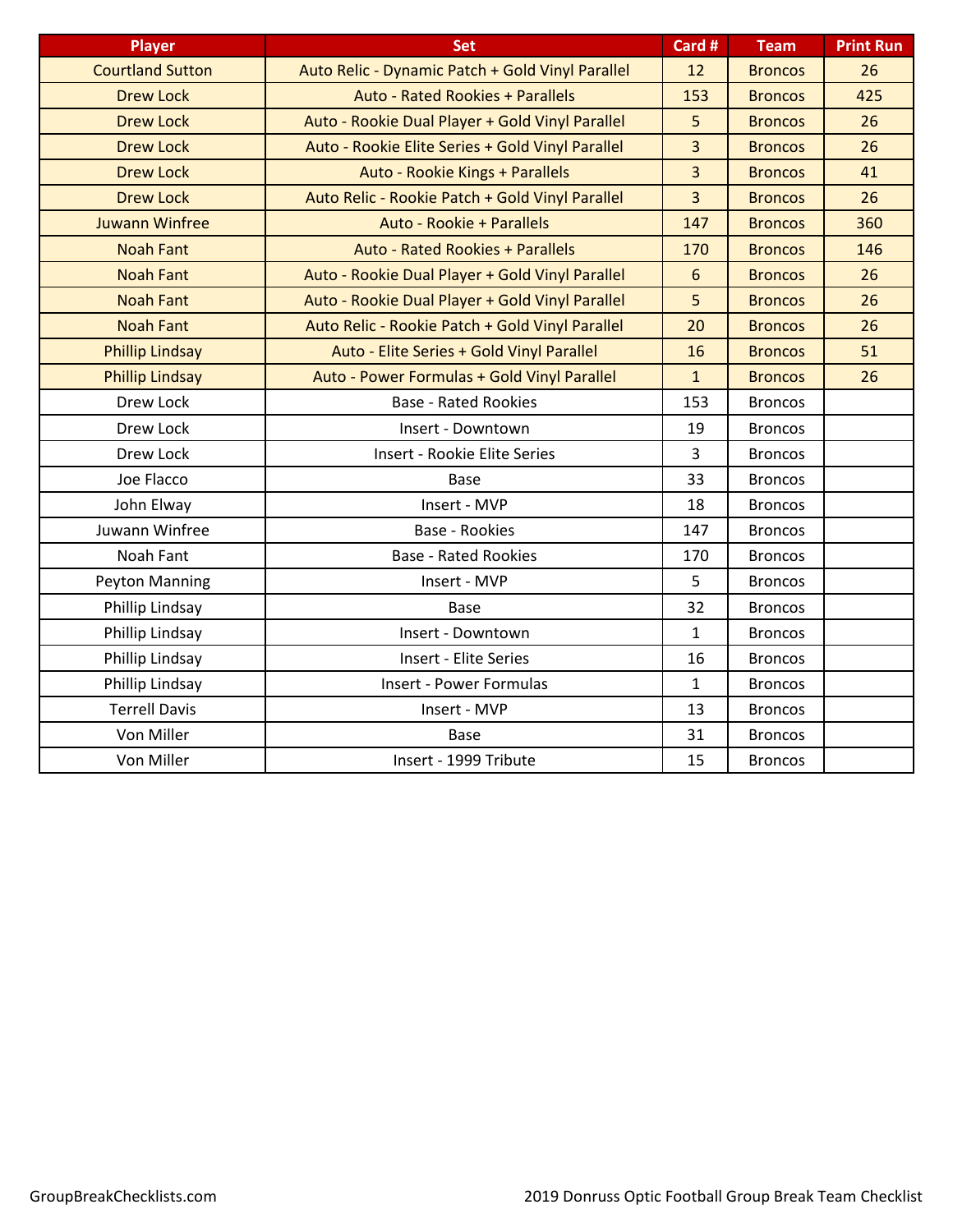| <b>Player</b>           | <b>Set</b>                                       | Card #         | <b>Team</b>    | <b>Print Run</b> |
|-------------------------|--------------------------------------------------|----------------|----------------|------------------|
| <b>Courtland Sutton</b> | Auto Relic - Dynamic Patch + Gold Vinyl Parallel | 12             | <b>Broncos</b> | 26               |
| <b>Drew Lock</b>        | Auto - Rated Rookies + Parallels                 | 153            | <b>Broncos</b> | 425              |
| <b>Drew Lock</b>        | Auto - Rookie Dual Player + Gold Vinyl Parallel  | 5              | <b>Broncos</b> | 26               |
| <b>Drew Lock</b>        | Auto - Rookie Elite Series + Gold Vinyl Parallel | $\overline{3}$ | <b>Broncos</b> | 26               |
| <b>Drew Lock</b>        | Auto - Rookie Kings + Parallels                  | $\overline{3}$ | <b>Broncos</b> | 41               |
| <b>Drew Lock</b>        | Auto Relic - Rookie Patch + Gold Vinyl Parallel  | $\overline{3}$ | <b>Broncos</b> | 26               |
| <b>Juwann Winfree</b>   | Auto - Rookie + Parallels                        | 147            | <b>Broncos</b> | 360              |
| <b>Noah Fant</b>        | <b>Auto - Rated Rookies + Parallels</b>          | 170            | <b>Broncos</b> | 146              |
| <b>Noah Fant</b>        | Auto - Rookie Dual Player + Gold Vinyl Parallel  | $6\phantom{1}$ | <b>Broncos</b> | 26               |
| <b>Noah Fant</b>        | Auto - Rookie Dual Player + Gold Vinyl Parallel  | 5              | <b>Broncos</b> | 26               |
| <b>Noah Fant</b>        | Auto Relic - Rookie Patch + Gold Vinyl Parallel  | 20             | <b>Broncos</b> | 26               |
| <b>Phillip Lindsay</b>  | Auto - Elite Series + Gold Vinyl Parallel        | 16             | <b>Broncos</b> | 51               |
| <b>Phillip Lindsay</b>  | Auto - Power Formulas + Gold Vinyl Parallel      | $\mathbf{1}$   | <b>Broncos</b> | 26               |
| Drew Lock               | <b>Base - Rated Rookies</b>                      | 153            | <b>Broncos</b> |                  |
| Drew Lock               | Insert - Downtown                                | 19             | <b>Broncos</b> |                  |
| Drew Lock               | Insert - Rookie Elite Series                     | 3              | <b>Broncos</b> |                  |
| Joe Flacco              | Base                                             | 33             | <b>Broncos</b> |                  |
| John Elway              | Insert - MVP                                     | 18             | <b>Broncos</b> |                  |
| Juwann Winfree          | Base - Rookies                                   | 147            | <b>Broncos</b> |                  |
| Noah Fant               | <b>Base - Rated Rookies</b>                      | 170            | <b>Broncos</b> |                  |
| Peyton Manning          | Insert - MVP                                     | 5              | <b>Broncos</b> |                  |
| Phillip Lindsay         | Base                                             | 32             | <b>Broncos</b> |                  |
| Phillip Lindsay         | Insert - Downtown                                | $\mathbf{1}$   | <b>Broncos</b> |                  |
| Phillip Lindsay         | <b>Insert - Elite Series</b>                     | 16             | <b>Broncos</b> |                  |
| Phillip Lindsay         | <b>Insert - Power Formulas</b>                   | $\mathbf{1}$   | <b>Broncos</b> |                  |
| <b>Terrell Davis</b>    | Insert - MVP                                     | 13             | <b>Broncos</b> |                  |
| Von Miller              | Base                                             | 31             | <b>Broncos</b> |                  |
| Von Miller              | Insert - 1999 Tribute                            | 15             | <b>Broncos</b> |                  |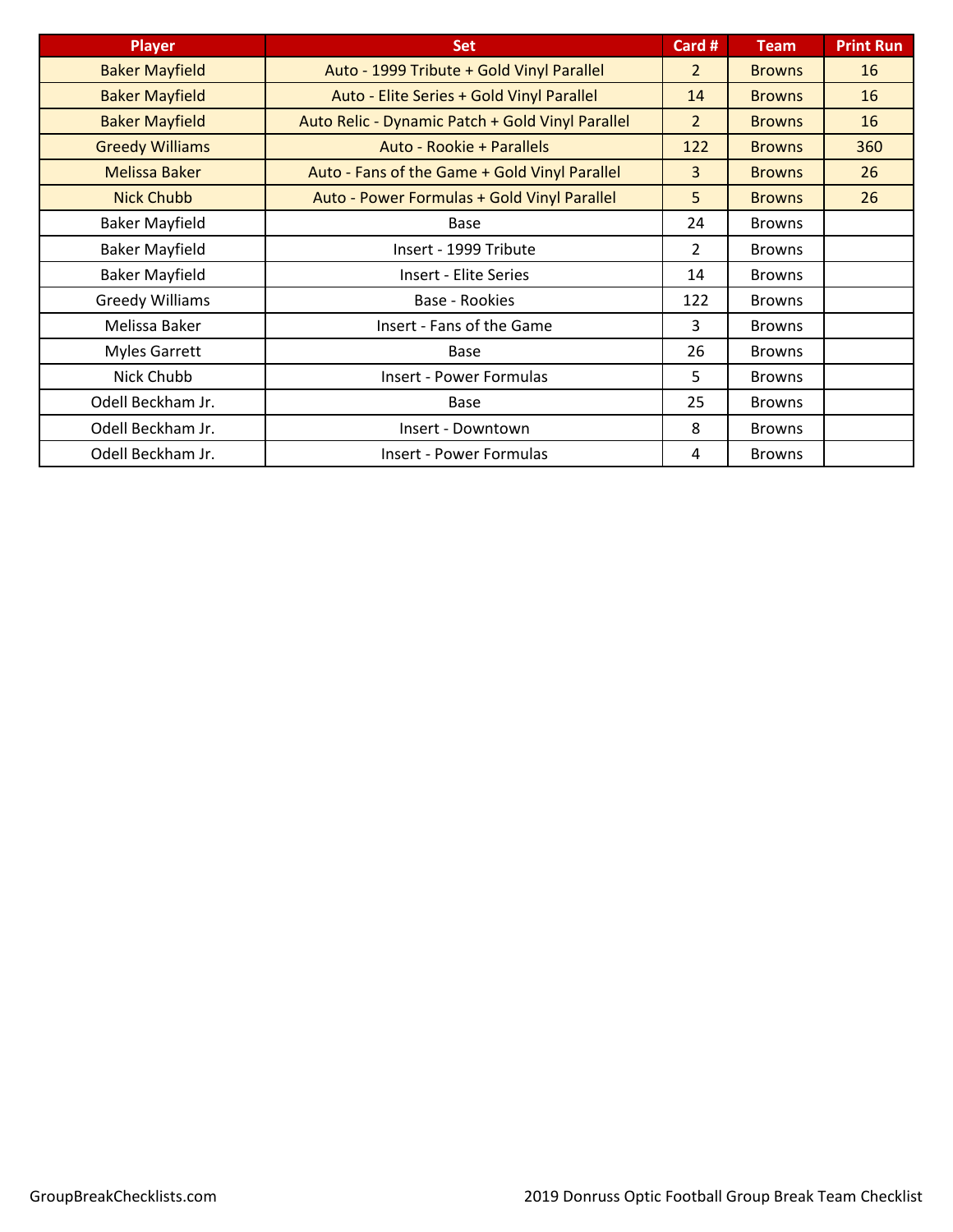| <b>Player</b>          | <b>Set</b>                                       | Card #         | <b>Team</b>   | <b>Print Run</b> |
|------------------------|--------------------------------------------------|----------------|---------------|------------------|
| <b>Baker Mayfield</b>  | Auto - 1999 Tribute + Gold Vinyl Parallel        | $\overline{2}$ | <b>Browns</b> | 16               |
| <b>Baker Mayfield</b>  | Auto - Elite Series + Gold Vinyl Parallel        | 14             | <b>Browns</b> | 16               |
| <b>Baker Mayfield</b>  | Auto Relic - Dynamic Patch + Gold Vinyl Parallel | $\overline{2}$ | <b>Browns</b> | 16               |
| <b>Greedy Williams</b> | Auto - Rookie + Parallels                        | 122            | <b>Browns</b> | 360              |
| <b>Melissa Baker</b>   | Auto - Fans of the Game + Gold Vinyl Parallel    | 3              | <b>Browns</b> | 26               |
| <b>Nick Chubb</b>      | Auto - Power Formulas + Gold Vinyl Parallel      | 5              | <b>Browns</b> | 26               |
| <b>Baker Mayfield</b>  | Base                                             | 24             | <b>Browns</b> |                  |
| <b>Baker Mayfield</b>  | Insert - 1999 Tribute                            | 2              | <b>Browns</b> |                  |
| <b>Baker Mayfield</b>  | <b>Insert - Elite Series</b>                     | 14             | <b>Browns</b> |                  |
| <b>Greedy Williams</b> | Base - Rookies                                   | 122            | <b>Browns</b> |                  |
| Melissa Baker          | Insert - Fans of the Game                        | 3              | <b>Browns</b> |                  |
| <b>Myles Garrett</b>   | <b>Base</b>                                      | 26             | <b>Browns</b> |                  |
| Nick Chubb             | <b>Insert - Power Formulas</b>                   | 5.             | <b>Browns</b> |                  |
| Odell Beckham Jr.      | Base                                             | 25             | <b>Browns</b> |                  |
| Odell Beckham Jr.      | Insert - Downtown                                | 8              | <b>Browns</b> |                  |
| Odell Beckham Jr.      | Insert - Power Formulas                          | 4              | <b>Browns</b> |                  |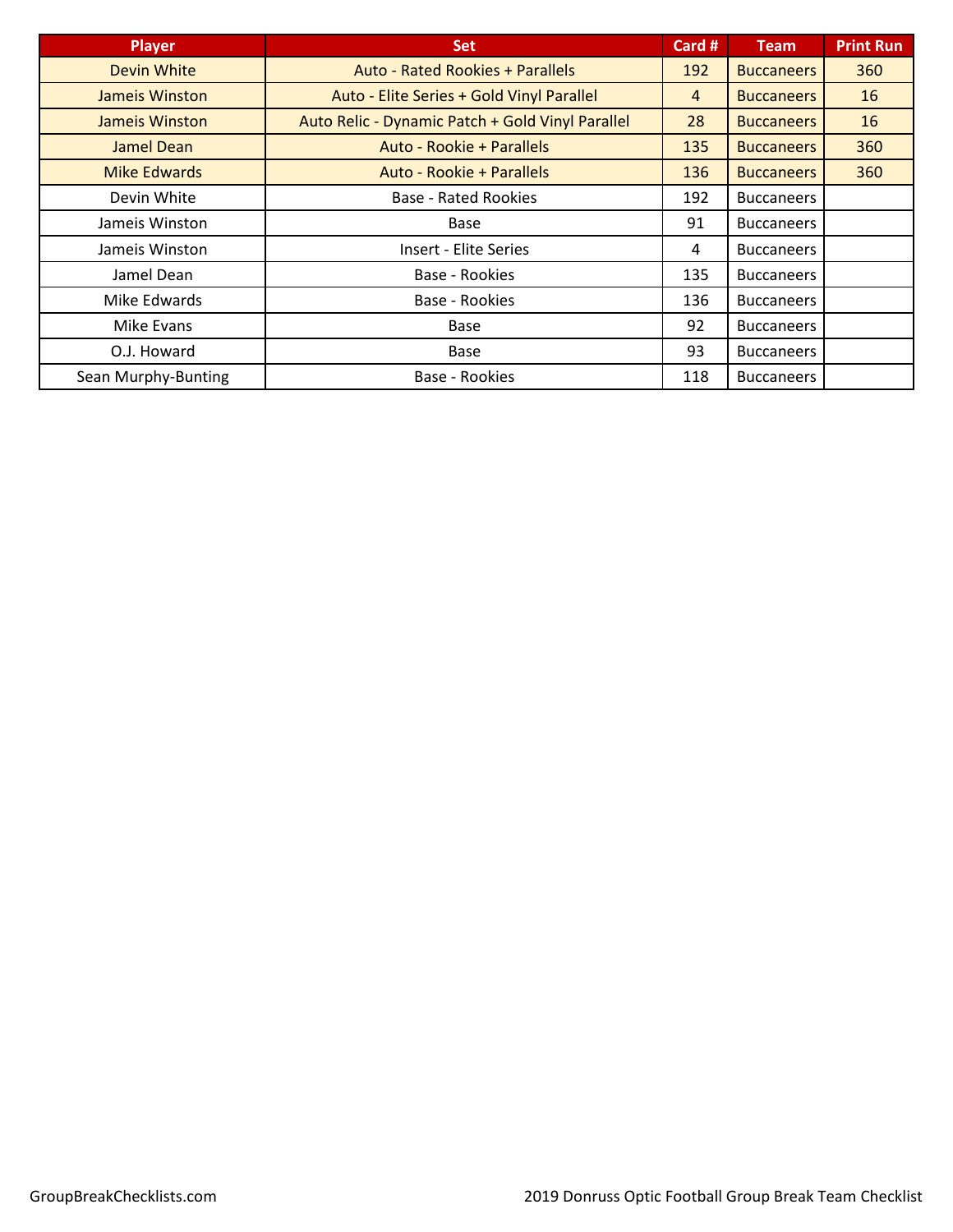| <b>Player</b>       | <b>Set</b>                                       | Card # | <b>Team</b>       | <b>Print Run</b> |
|---------------------|--------------------------------------------------|--------|-------------------|------------------|
| <b>Devin White</b>  | <b>Auto - Rated Rookies + Parallels</b>          | 192    | <b>Buccaneers</b> | 360              |
| Jameis Winston      | Auto - Elite Series + Gold Vinyl Parallel        | 4      | <b>Buccaneers</b> | 16               |
| Jameis Winston      | Auto Relic - Dynamic Patch + Gold Vinyl Parallel | 28     | <b>Buccaneers</b> | 16               |
| Jamel Dean          | Auto - Rookie + Parallels                        | 135    | <b>Buccaneers</b> | 360              |
| <b>Mike Edwards</b> | Auto - Rookie + Parallels                        | 136    | <b>Buccaneers</b> | 360              |
| Devin White         | <b>Base - Rated Rookies</b>                      | 192    | <b>Buccaneers</b> |                  |
| Jameis Winston      | <b>Base</b>                                      | 91     | <b>Buccaneers</b> |                  |
| Jameis Winston      | <b>Insert - Elite Series</b>                     | 4      | <b>Buccaneers</b> |                  |
| Jamel Dean          | Base - Rookies                                   | 135    | <b>Buccaneers</b> |                  |
| Mike Edwards        | Base - Rookies                                   | 136    | <b>Buccaneers</b> |                  |
| Mike Evans          | <b>Base</b>                                      | 92     | <b>Buccaneers</b> |                  |
| O.J. Howard         | Base                                             | 93     | <b>Buccaneers</b> |                  |
| Sean Murphy-Bunting | Base - Rookies                                   | 118    | <b>Buccaneers</b> |                  |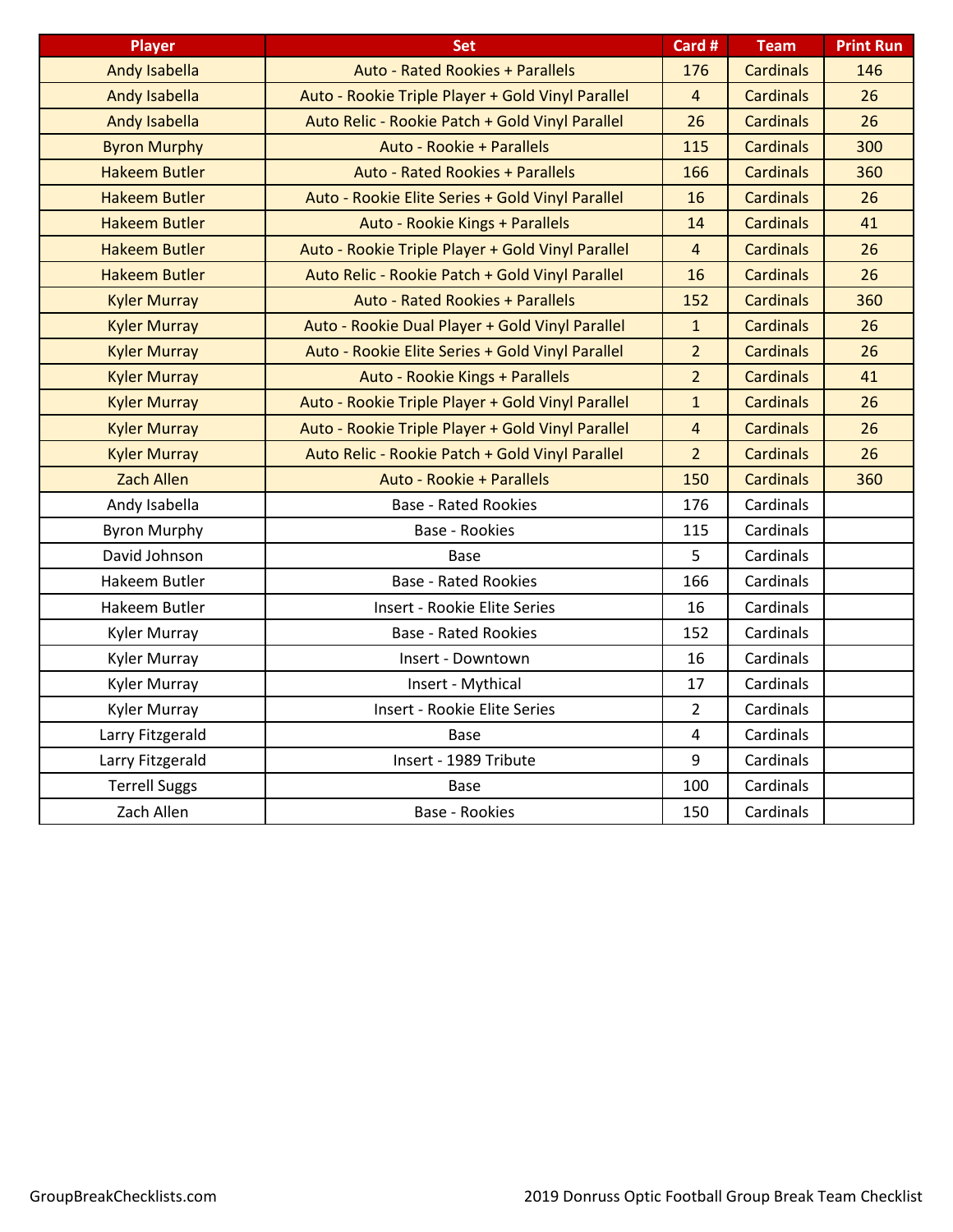| <b>Player</b>        | <b>Set</b>                                        | Card #         | <b>Team</b>      | <b>Print Run</b> |
|----------------------|---------------------------------------------------|----------------|------------------|------------------|
| <b>Andy Isabella</b> | Auto - Rated Rookies + Parallels                  | 176            | <b>Cardinals</b> | 146              |
| Andy Isabella        | Auto - Rookie Triple Player + Gold Vinyl Parallel | $\overline{4}$ | <b>Cardinals</b> | 26               |
| <b>Andy Isabella</b> | Auto Relic - Rookie Patch + Gold Vinyl Parallel   | 26             | <b>Cardinals</b> | 26               |
| <b>Byron Murphy</b>  | Auto - Rookie + Parallels                         | 115            | <b>Cardinals</b> | 300              |
| <b>Hakeem Butler</b> | <b>Auto - Rated Rookies + Parallels</b>           | 166            | <b>Cardinals</b> | 360              |
| <b>Hakeem Butler</b> | Auto - Rookie Elite Series + Gold Vinyl Parallel  | 16             | <b>Cardinals</b> | 26               |
| <b>Hakeem Butler</b> | Auto - Rookie Kings + Parallels                   | 14             | <b>Cardinals</b> | 41               |
| <b>Hakeem Butler</b> | Auto - Rookie Triple Player + Gold Vinyl Parallel | $\overline{4}$ | <b>Cardinals</b> | 26               |
| <b>Hakeem Butler</b> | Auto Relic - Rookie Patch + Gold Vinyl Parallel   | 16             | <b>Cardinals</b> | 26               |
| <b>Kyler Murray</b>  | <b>Auto - Rated Rookies + Parallels</b>           | 152            | <b>Cardinals</b> | 360              |
| <b>Kyler Murray</b>  | Auto - Rookie Dual Player + Gold Vinyl Parallel   | $\mathbf{1}$   | <b>Cardinals</b> | 26               |
| <b>Kyler Murray</b>  | Auto - Rookie Elite Series + Gold Vinyl Parallel  | $\overline{2}$ | <b>Cardinals</b> | 26               |
| <b>Kyler Murray</b>  | Auto - Rookie Kings + Parallels                   | $\overline{2}$ | <b>Cardinals</b> | 41               |
| <b>Kyler Murray</b>  | Auto - Rookie Triple Player + Gold Vinyl Parallel | $\mathbf{1}$   | <b>Cardinals</b> | 26               |
| <b>Kyler Murray</b>  | Auto - Rookie Triple Player + Gold Vinyl Parallel | $\overline{4}$ | <b>Cardinals</b> | 26               |
| <b>Kyler Murray</b>  | Auto Relic - Rookie Patch + Gold Vinyl Parallel   | $\overline{2}$ | <b>Cardinals</b> | 26               |
| <b>Zach Allen</b>    | Auto - Rookie + Parallels                         | 150            | <b>Cardinals</b> | 360              |
| Andy Isabella        | <b>Base - Rated Rookies</b>                       | 176            | Cardinals        |                  |
| <b>Byron Murphy</b>  | <b>Base - Rookies</b>                             | 115            | Cardinals        |                  |
| David Johnson        | Base                                              | 5              | Cardinals        |                  |
| Hakeem Butler        | <b>Base - Rated Rookies</b>                       | 166            | Cardinals        |                  |
| Hakeem Butler        | Insert - Rookie Elite Series                      | 16             | Cardinals        |                  |
| Kyler Murray         | <b>Base - Rated Rookies</b>                       | 152            | Cardinals        |                  |
| Kyler Murray         | Insert - Downtown                                 | 16             | Cardinals        |                  |
| Kyler Murray         | Insert - Mythical                                 | 17             | Cardinals        |                  |
| Kyler Murray         | Insert - Rookie Elite Series                      | $\overline{2}$ | Cardinals        |                  |
| Larry Fitzgerald     | Base                                              | $\overline{4}$ | Cardinals        |                  |
| Larry Fitzgerald     | Insert - 1989 Tribute                             | 9              | Cardinals        |                  |
| <b>Terrell Suggs</b> | Base                                              | 100            | Cardinals        |                  |
| Zach Allen           | <b>Base - Rookies</b>                             | 150            | Cardinals        |                  |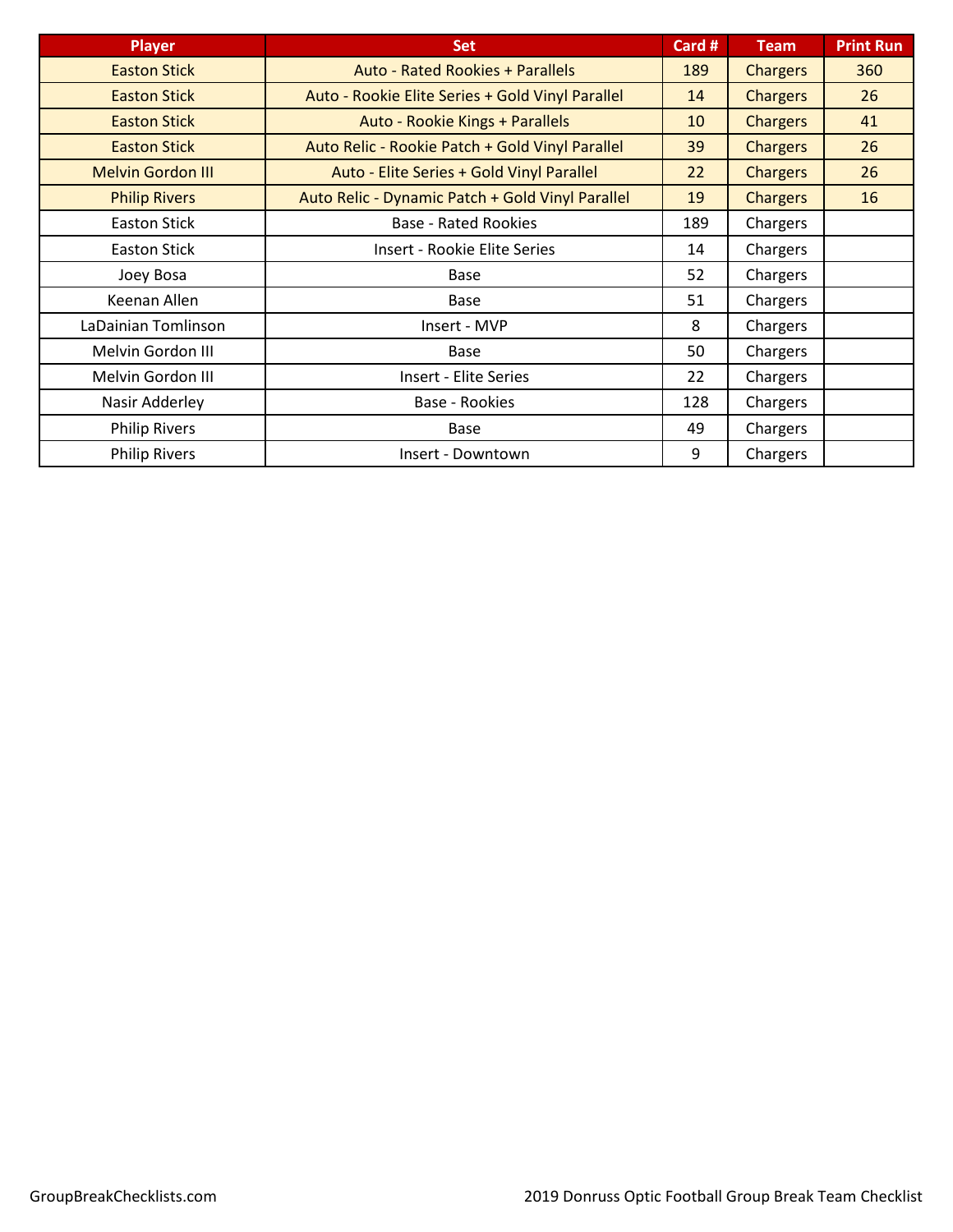| <b>Player</b>            | <b>Set</b>                                       | Card # | <b>Team</b>     | <b>Print Run</b> |
|--------------------------|--------------------------------------------------|--------|-----------------|------------------|
| <b>Easton Stick</b>      | <b>Auto - Rated Rookies + Parallels</b>          | 189    | <b>Chargers</b> | 360              |
| <b>Easton Stick</b>      | Auto - Rookie Elite Series + Gold Vinyl Parallel | 14     | <b>Chargers</b> | 26               |
| <b>Easton Stick</b>      | Auto - Rookie Kings + Parallels                  | 10     | <b>Chargers</b> | 41               |
| <b>Easton Stick</b>      | Auto Relic - Rookie Patch + Gold Vinyl Parallel  | 39     | <b>Chargers</b> | 26               |
| <b>Melvin Gordon III</b> | Auto - Elite Series + Gold Vinyl Parallel        | 22     | <b>Chargers</b> | 26               |
| <b>Philip Rivers</b>     | Auto Relic - Dynamic Patch + Gold Vinyl Parallel | 19     | <b>Chargers</b> | 16               |
| <b>Easton Stick</b>      | <b>Base - Rated Rookies</b>                      | 189    | Chargers        |                  |
| <b>Easton Stick</b>      | Insert - Rookie Elite Series                     | 14     | Chargers        |                  |
| Joey Bosa                | <b>Base</b>                                      | 52     | Chargers        |                  |
| Keenan Allen             | <b>Base</b>                                      | 51     | Chargers        |                  |
| LaDainian Tomlinson      | Insert - MVP                                     | 8      | Chargers        |                  |
| Melvin Gordon III        | <b>Base</b>                                      | 50     | Chargers        |                  |
| Melvin Gordon III        | <b>Insert - Elite Series</b>                     | 22     | Chargers        |                  |
| Nasir Adderley           | Base - Rookies                                   | 128    | Chargers        |                  |
| <b>Philip Rivers</b>     | <b>Base</b>                                      | 49     | Chargers        |                  |
| <b>Philip Rivers</b>     | Insert - Downtown                                | 9      | Chargers        |                  |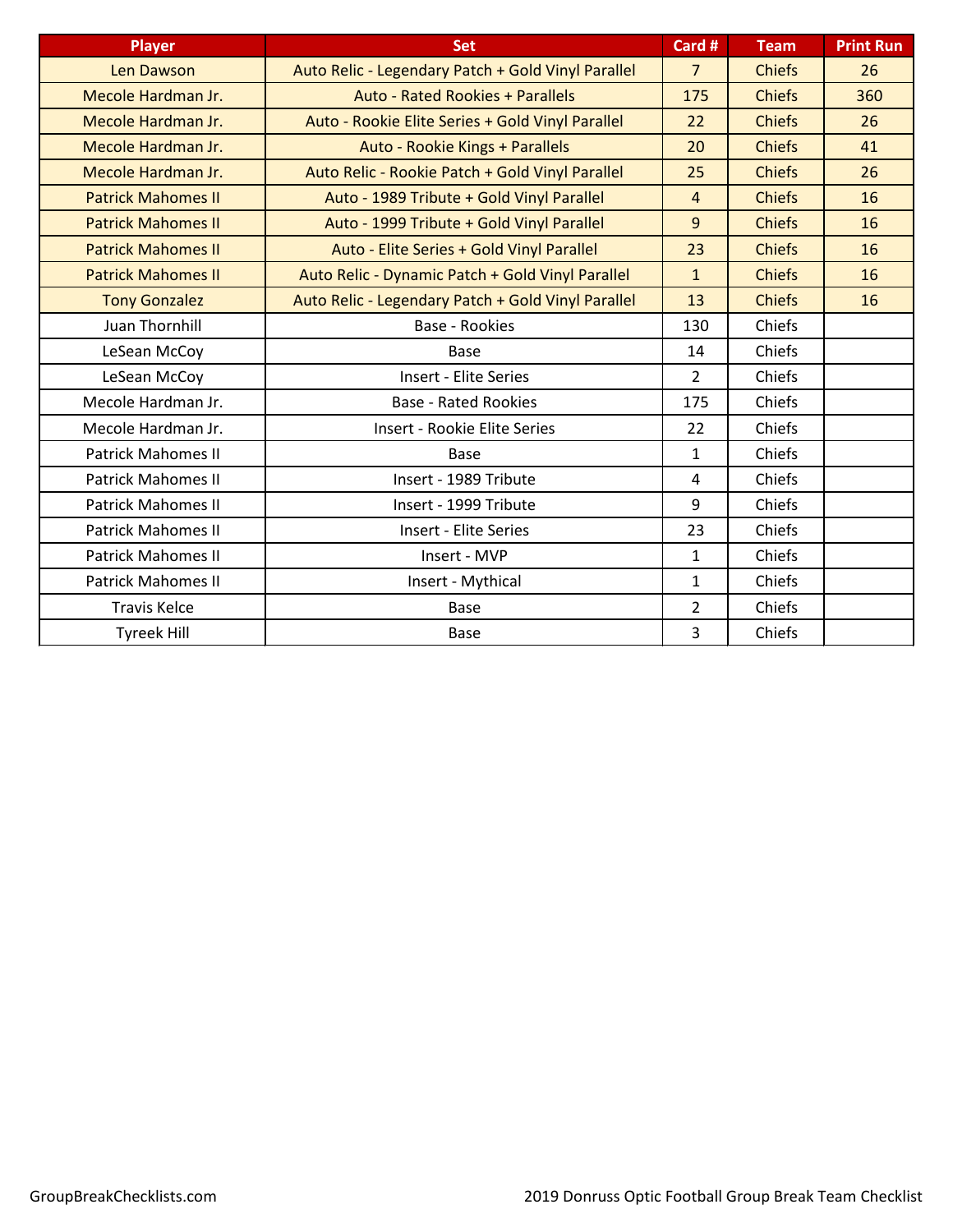| <b>Player</b>             | <b>Set</b>                                         | Card #         | <b>Team</b>   | <b>Print Run</b> |
|---------------------------|----------------------------------------------------|----------------|---------------|------------------|
| Len Dawson                | Auto Relic - Legendary Patch + Gold Vinyl Parallel | $\overline{7}$ | <b>Chiefs</b> | 26               |
| Mecole Hardman Jr.        | <b>Auto - Rated Rookies + Parallels</b>            | 175            | <b>Chiefs</b> | 360              |
| Mecole Hardman Jr.        | Auto - Rookie Elite Series + Gold Vinyl Parallel   | 22             | <b>Chiefs</b> | 26               |
| Mecole Hardman Jr.        | Auto - Rookie Kings + Parallels                    | 20             | <b>Chiefs</b> | 41               |
| Mecole Hardman Jr.        | Auto Relic - Rookie Patch + Gold Vinyl Parallel    | 25             | <b>Chiefs</b> | 26               |
| <b>Patrick Mahomes II</b> | Auto - 1989 Tribute + Gold Vinyl Parallel          | $\overline{4}$ | <b>Chiefs</b> | 16               |
| <b>Patrick Mahomes II</b> | Auto - 1999 Tribute + Gold Vinyl Parallel          | $\overline{9}$ | <b>Chiefs</b> | 16               |
| <b>Patrick Mahomes II</b> | Auto - Elite Series + Gold Vinyl Parallel          | 23             | <b>Chiefs</b> | 16               |
| <b>Patrick Mahomes II</b> | Auto Relic - Dynamic Patch + Gold Vinyl Parallel   | $\mathbf{1}$   | <b>Chiefs</b> | 16               |
| <b>Tony Gonzalez</b>      | Auto Relic - Legendary Patch + Gold Vinyl Parallel | 13             | <b>Chiefs</b> | 16               |
| <b>Juan Thornhill</b>     | Base - Rookies                                     | 130            | Chiefs        |                  |
| LeSean McCoy              | Base                                               | 14             | Chiefs        |                  |
| LeSean McCoy              | <b>Insert - Elite Series</b>                       | $\overline{2}$ | Chiefs        |                  |
| Mecole Hardman Jr.        | <b>Base - Rated Rookies</b>                        | 175            | Chiefs        |                  |
| Mecole Hardman Jr.        | Insert - Rookie Elite Series                       | 22             | Chiefs        |                  |
| <b>Patrick Mahomes II</b> | <b>Base</b>                                        | $\mathbf{1}$   | Chiefs        |                  |
| <b>Patrick Mahomes II</b> | Insert - 1989 Tribute                              | 4              | Chiefs        |                  |
| <b>Patrick Mahomes II</b> | Insert - 1999 Tribute                              | 9              | Chiefs        |                  |
| <b>Patrick Mahomes II</b> | <b>Insert - Elite Series</b>                       | 23             | Chiefs        |                  |
| <b>Patrick Mahomes II</b> | Insert - MVP                                       | $\mathbf{1}$   | Chiefs        |                  |
| <b>Patrick Mahomes II</b> | Insert - Mythical                                  | $\mathbf{1}$   | Chiefs        |                  |
| <b>Travis Kelce</b>       | <b>Base</b>                                        | $\overline{2}$ | Chiefs        |                  |
| <b>Tyreek Hill</b>        | <b>Base</b>                                        | 3              | Chiefs        |                  |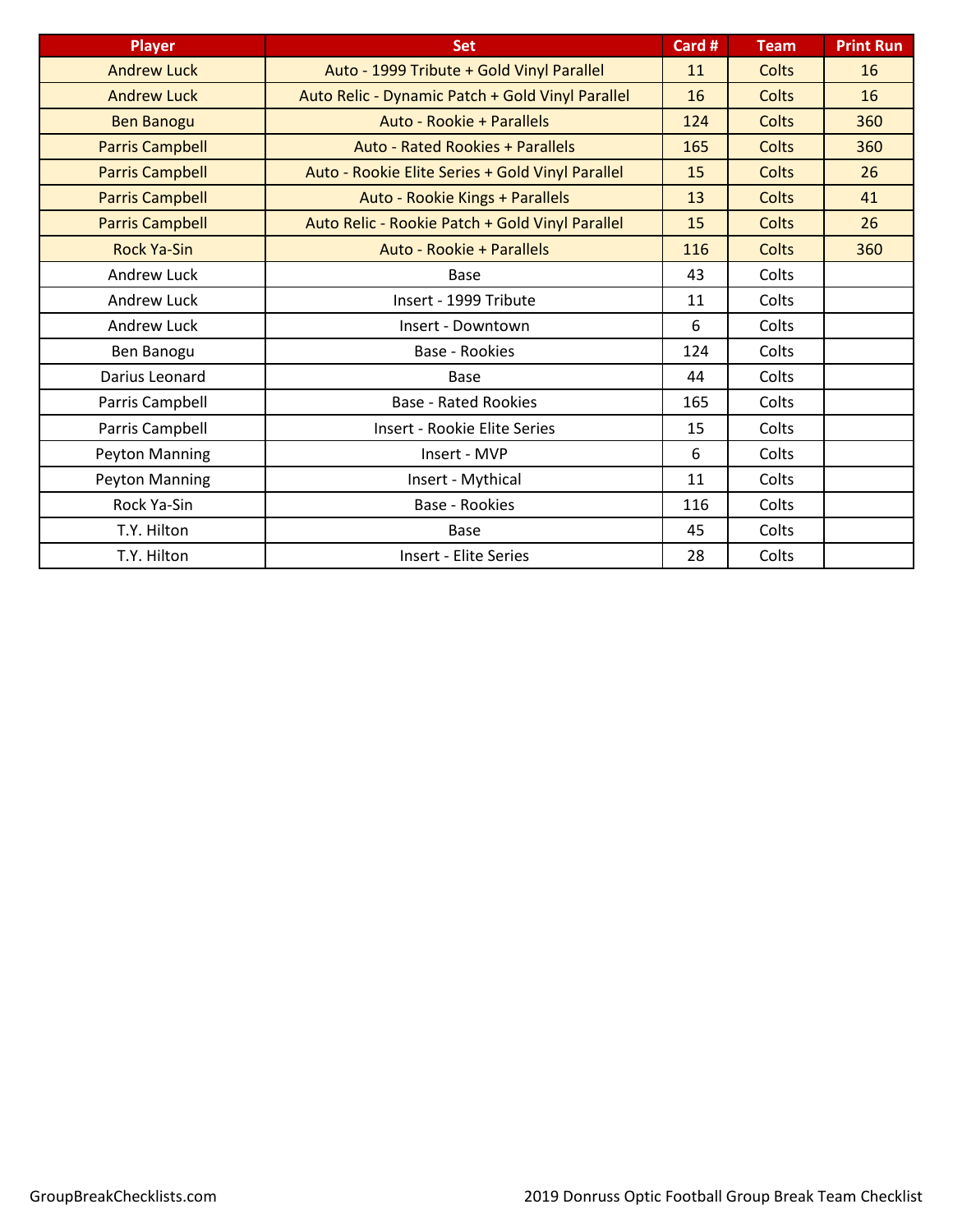| <b>Player</b>          | <b>Set</b>                                       | Card # | <b>Team</b>  | <b>Print Run</b> |
|------------------------|--------------------------------------------------|--------|--------------|------------------|
| <b>Andrew Luck</b>     | Auto - 1999 Tribute + Gold Vinyl Parallel        | 11     | <b>Colts</b> | 16               |
| <b>Andrew Luck</b>     | Auto Relic - Dynamic Patch + Gold Vinyl Parallel | 16     | <b>Colts</b> | 16               |
| <b>Ben Banogu</b>      | Auto - Rookie + Parallels                        | 124    | <b>Colts</b> | 360              |
| <b>Parris Campbell</b> | <b>Auto - Rated Rookies + Parallels</b>          | 165    | <b>Colts</b> | 360              |
| <b>Parris Campbell</b> | Auto - Rookie Elite Series + Gold Vinyl Parallel | 15     | <b>Colts</b> | 26               |
| <b>Parris Campbell</b> | Auto - Rookie Kings + Parallels                  | 13     | <b>Colts</b> | 41               |
| <b>Parris Campbell</b> | Auto Relic - Rookie Patch + Gold Vinyl Parallel  | 15     | <b>Colts</b> | 26               |
| <b>Rock Ya-Sin</b>     | Auto - Rookie + Parallels                        | 116    | <b>Colts</b> | 360              |
| Andrew Luck            | Base                                             | 43     | Colts        |                  |
| Andrew Luck            | Insert - 1999 Tribute                            | 11     | Colts        |                  |
| <b>Andrew Luck</b>     | Insert - Downtown                                | 6      | Colts        |                  |
| Ben Banogu             | Base - Rookies                                   | 124    | Colts        |                  |
| Darius Leonard         | <b>Base</b>                                      | 44     | Colts        |                  |
| Parris Campbell        | <b>Base - Rated Rookies</b>                      | 165    | Colts        |                  |
| Parris Campbell        | Insert - Rookie Elite Series                     | 15     | Colts        |                  |
| Peyton Manning         | Insert - MVP                                     | 6      | Colts        |                  |
| Peyton Manning         | Insert - Mythical                                | 11     | Colts        |                  |
| Rock Ya-Sin            | Base - Rookies                                   | 116    | Colts        |                  |
| T.Y. Hilton            | <b>Base</b>                                      | 45     | Colts        |                  |
| T.Y. Hilton            | <b>Insert - Elite Series</b>                     | 28     | Colts        |                  |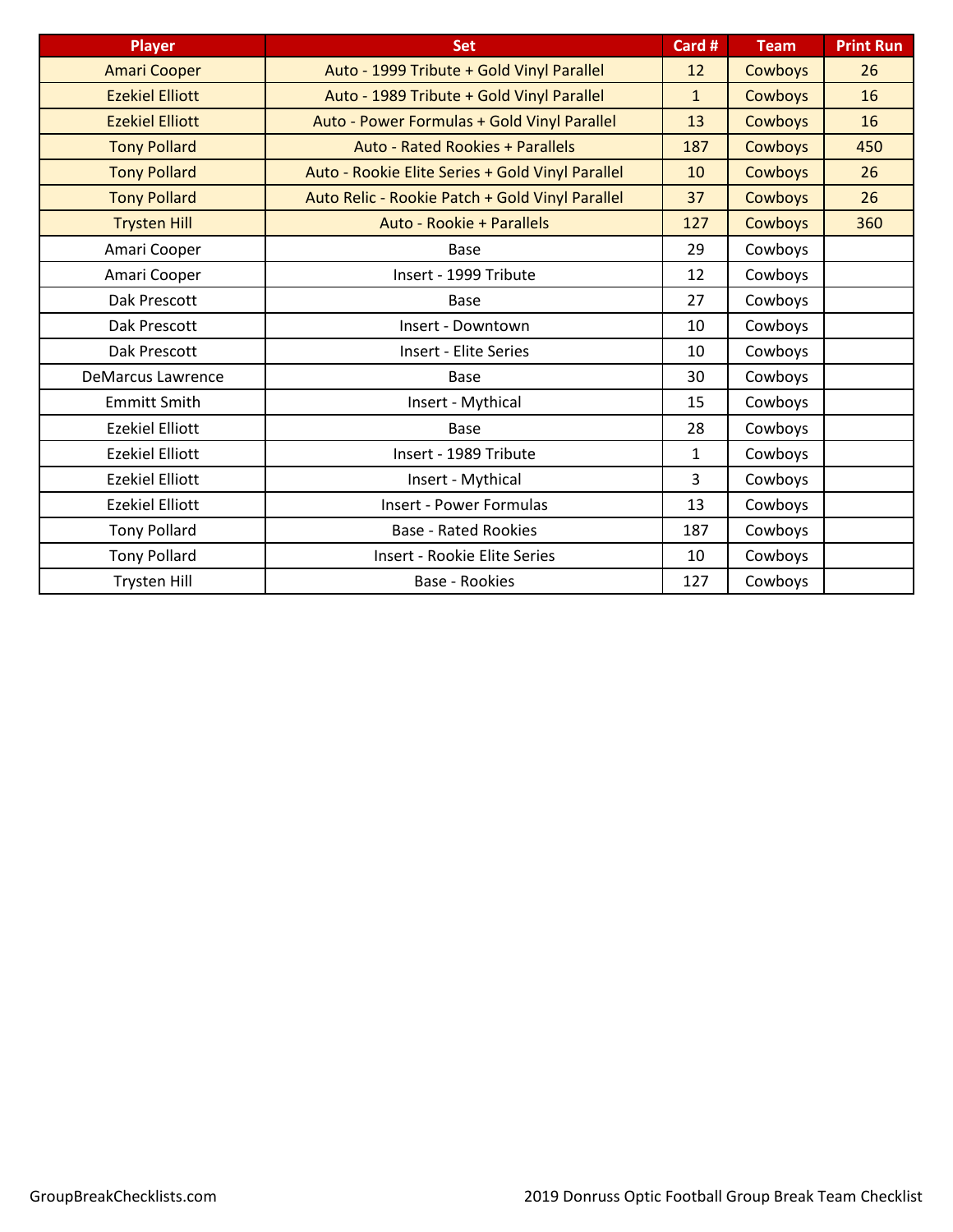| <b>Player</b>            | <b>Set</b>                                       | Card #       | <b>Team</b>    | <b>Print Run</b> |
|--------------------------|--------------------------------------------------|--------------|----------------|------------------|
| <b>Amari Cooper</b>      | Auto - 1999 Tribute + Gold Vinyl Parallel        | 12           | <b>Cowboys</b> | 26               |
| <b>Ezekiel Elliott</b>   | Auto - 1989 Tribute + Gold Vinyl Parallel        | $\mathbf{1}$ | <b>Cowboys</b> | 16               |
| <b>Ezekiel Elliott</b>   | Auto - Power Formulas + Gold Vinyl Parallel      | 13           | <b>Cowboys</b> | 16               |
| <b>Tony Pollard</b>      | <b>Auto - Rated Rookies + Parallels</b>          | 187          | <b>Cowboys</b> | 450              |
| <b>Tony Pollard</b>      | Auto - Rookie Elite Series + Gold Vinyl Parallel | 10           | <b>Cowboys</b> | 26               |
| <b>Tony Pollard</b>      | Auto Relic - Rookie Patch + Gold Vinyl Parallel  | 37           | Cowboys        | 26               |
| <b>Trysten Hill</b>      | Auto - Rookie + Parallels                        | 127          | <b>Cowboys</b> | 360              |
| Amari Cooper             | Base                                             | 29           | Cowboys        |                  |
| Amari Cooper             | Insert - 1999 Tribute                            | 12           | Cowboys        |                  |
| Dak Prescott             | Base                                             | 27           | Cowboys        |                  |
| Dak Prescott             | Insert - Downtown                                | 10           | Cowboys        |                  |
| Dak Prescott             | <b>Insert - Elite Series</b>                     | 10           | Cowboys        |                  |
| <b>DeMarcus Lawrence</b> | <b>Base</b>                                      | 30           | Cowboys        |                  |
| <b>Emmitt Smith</b>      | Insert - Mythical                                | 15           | Cowboys        |                  |
| <b>Ezekiel Elliott</b>   | Base                                             | 28           | Cowboys        |                  |
| <b>Ezekiel Elliott</b>   | Insert - 1989 Tribute                            | $\mathbf{1}$ | Cowboys        |                  |
| <b>Ezekiel Elliott</b>   | Insert - Mythical                                | 3            | Cowboys        |                  |
| <b>Ezekiel Elliott</b>   | <b>Insert - Power Formulas</b>                   | 13           | Cowboys        |                  |
| <b>Tony Pollard</b>      | <b>Base - Rated Rookies</b>                      | 187          | Cowboys        |                  |
| <b>Tony Pollard</b>      | <b>Insert - Rookie Elite Series</b>              | 10           | Cowboys        |                  |
| <b>Trysten Hill</b>      | <b>Base - Rookies</b>                            | 127          | Cowboys        |                  |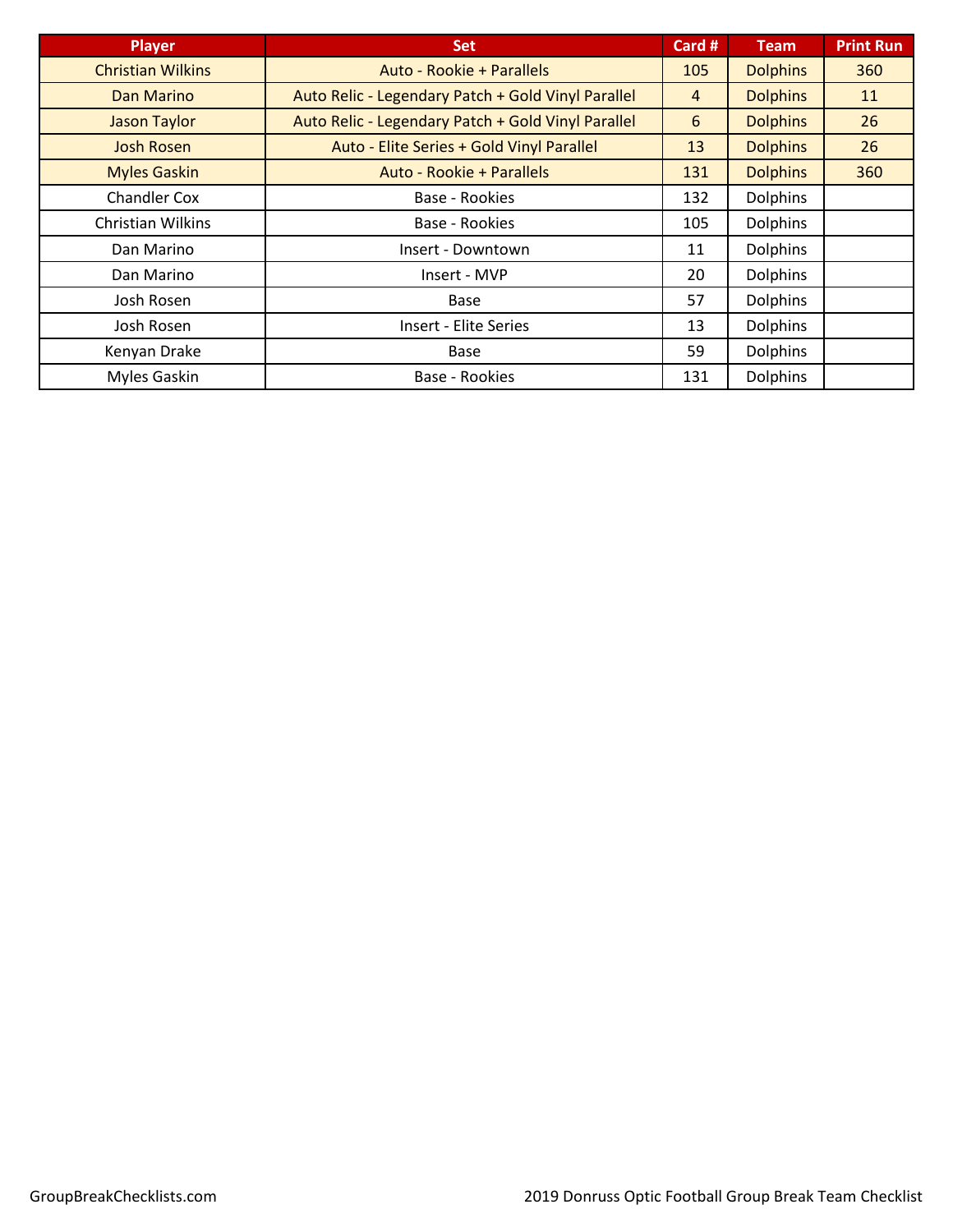| <b>Player</b>            | <b>Set</b>                                         | Card # | <b>Team</b>     | <b>Print Run</b> |
|--------------------------|----------------------------------------------------|--------|-----------------|------------------|
| <b>Christian Wilkins</b> | Auto - Rookie + Parallels                          | 105    | <b>Dolphins</b> | 360              |
| Dan Marino               | Auto Relic - Legendary Patch + Gold Vinyl Parallel | 4      | <b>Dolphins</b> | 11               |
| <b>Jason Taylor</b>      | Auto Relic - Legendary Patch + Gold Vinyl Parallel | 6      | <b>Dolphins</b> | 26               |
| <b>Josh Rosen</b>        | Auto - Elite Series + Gold Vinyl Parallel          | 13     | <b>Dolphins</b> | 26               |
| <b>Myles Gaskin</b>      | Auto - Rookie + Parallels                          | 131    | <b>Dolphins</b> | 360              |
| <b>Chandler Cox</b>      | Base - Rookies                                     | 132    | <b>Dolphins</b> |                  |
| <b>Christian Wilkins</b> | Base - Rookies                                     | 105    | <b>Dolphins</b> |                  |
| Dan Marino               | Insert - Downtown                                  | 11     | <b>Dolphins</b> |                  |
| Dan Marino               | Insert - MVP                                       | 20     | <b>Dolphins</b> |                  |
| Josh Rosen               | <b>Base</b>                                        | 57     | <b>Dolphins</b> |                  |
| Josh Rosen               | <b>Insert - Elite Series</b>                       | 13     | <b>Dolphins</b> |                  |
| Kenyan Drake             | Base                                               | 59     | <b>Dolphins</b> |                  |
| Myles Gaskin             | Base - Rookies                                     | 131    | <b>Dolphins</b> |                  |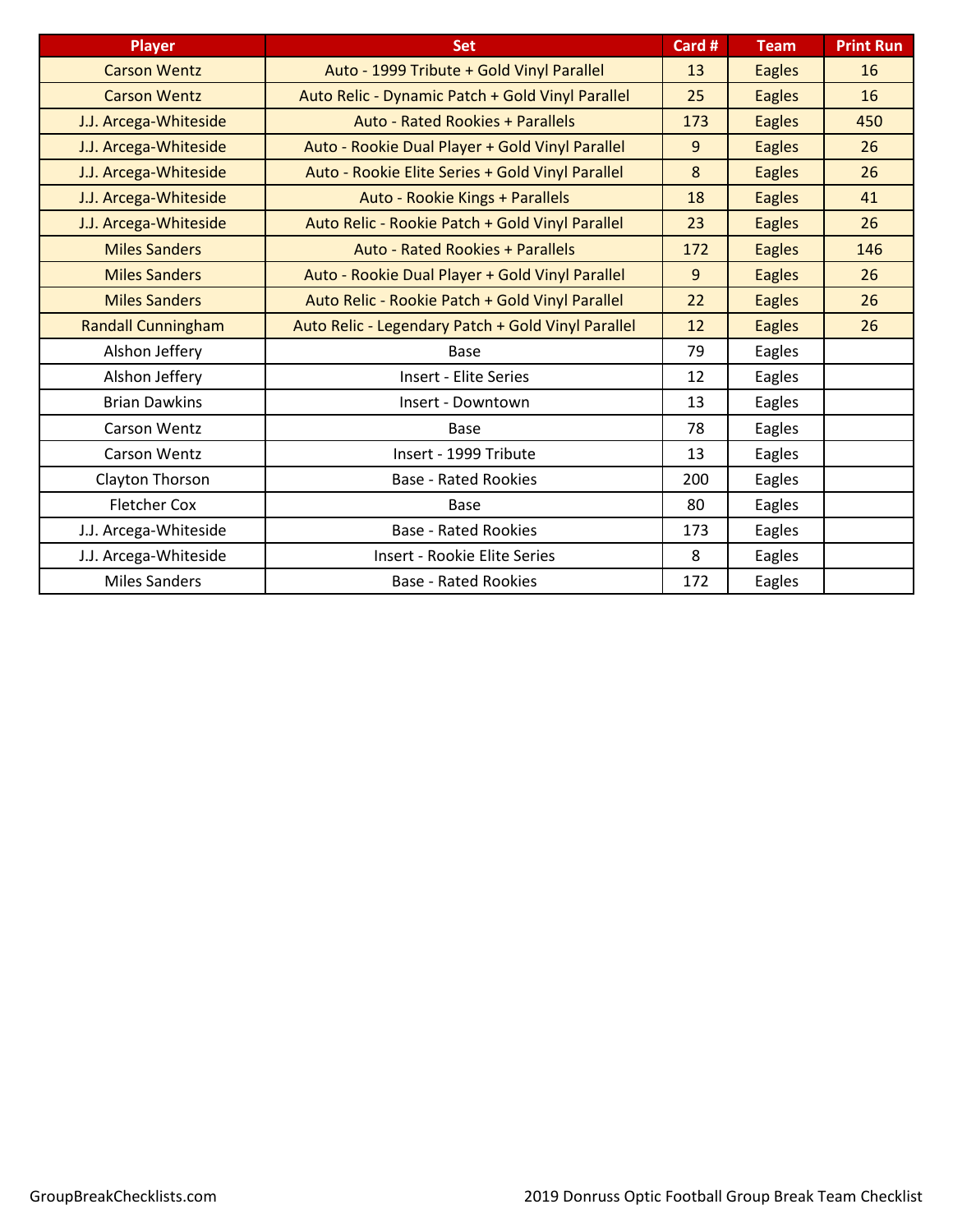| <b>Player</b>             | <b>Set</b>                                         | Card # | <b>Team</b>   | <b>Print Run</b> |
|---------------------------|----------------------------------------------------|--------|---------------|------------------|
| <b>Carson Wentz</b>       | Auto - 1999 Tribute + Gold Vinyl Parallel          | 13     | <b>Eagles</b> | 16               |
| <b>Carson Wentz</b>       | Auto Relic - Dynamic Patch + Gold Vinyl Parallel   | 25     | <b>Eagles</b> | 16               |
| J.J. Arcega-Whiteside     | <b>Auto - Rated Rookies + Parallels</b>            | 173    | <b>Eagles</b> | 450              |
| J.J. Arcega-Whiteside     | Auto - Rookie Dual Player + Gold Vinyl Parallel    | 9      | <b>Eagles</b> | 26               |
| J.J. Arcega-Whiteside     | Auto - Rookie Elite Series + Gold Vinyl Parallel   | 8      | <b>Eagles</b> | 26               |
| J.J. Arcega-Whiteside     | Auto - Rookie Kings + Parallels                    | 18     | <b>Eagles</b> | 41               |
| J.J. Arcega-Whiteside     | Auto Relic - Rookie Patch + Gold Vinyl Parallel    | 23     | <b>Eagles</b> | 26               |
| <b>Miles Sanders</b>      | <b>Auto - Rated Rookies + Parallels</b>            | 172    | <b>Eagles</b> | 146              |
| <b>Miles Sanders</b>      | Auto - Rookie Dual Player + Gold Vinyl Parallel    | 9      | <b>Eagles</b> | 26               |
| <b>Miles Sanders</b>      | Auto Relic - Rookie Patch + Gold Vinyl Parallel    | 22     | <b>Eagles</b> | 26               |
| <b>Randall Cunningham</b> | Auto Relic - Legendary Patch + Gold Vinyl Parallel | 12     | <b>Eagles</b> | 26               |
| Alshon Jeffery            | Base                                               | 79     | Eagles        |                  |
| Alshon Jeffery            | <b>Insert - Elite Series</b>                       | 12     | Eagles        |                  |
| <b>Brian Dawkins</b>      | Insert - Downtown                                  | 13     | Eagles        |                  |
| Carson Wentz              | Base                                               | 78     | Eagles        |                  |
| <b>Carson Wentz</b>       | Insert - 1999 Tribute                              | 13     | Eagles        |                  |
| Clayton Thorson           | <b>Base - Rated Rookies</b>                        | 200    | Eagles        |                  |
| <b>Fletcher Cox</b>       | Base                                               | 80     | Eagles        |                  |
| J.J. Arcega-Whiteside     | <b>Base - Rated Rookies</b>                        | 173    | Eagles        |                  |
| J.J. Arcega-Whiteside     | Insert - Rookie Elite Series                       | 8      | Eagles        |                  |
| <b>Miles Sanders</b>      | <b>Base - Rated Rookies</b>                        | 172    | Eagles        |                  |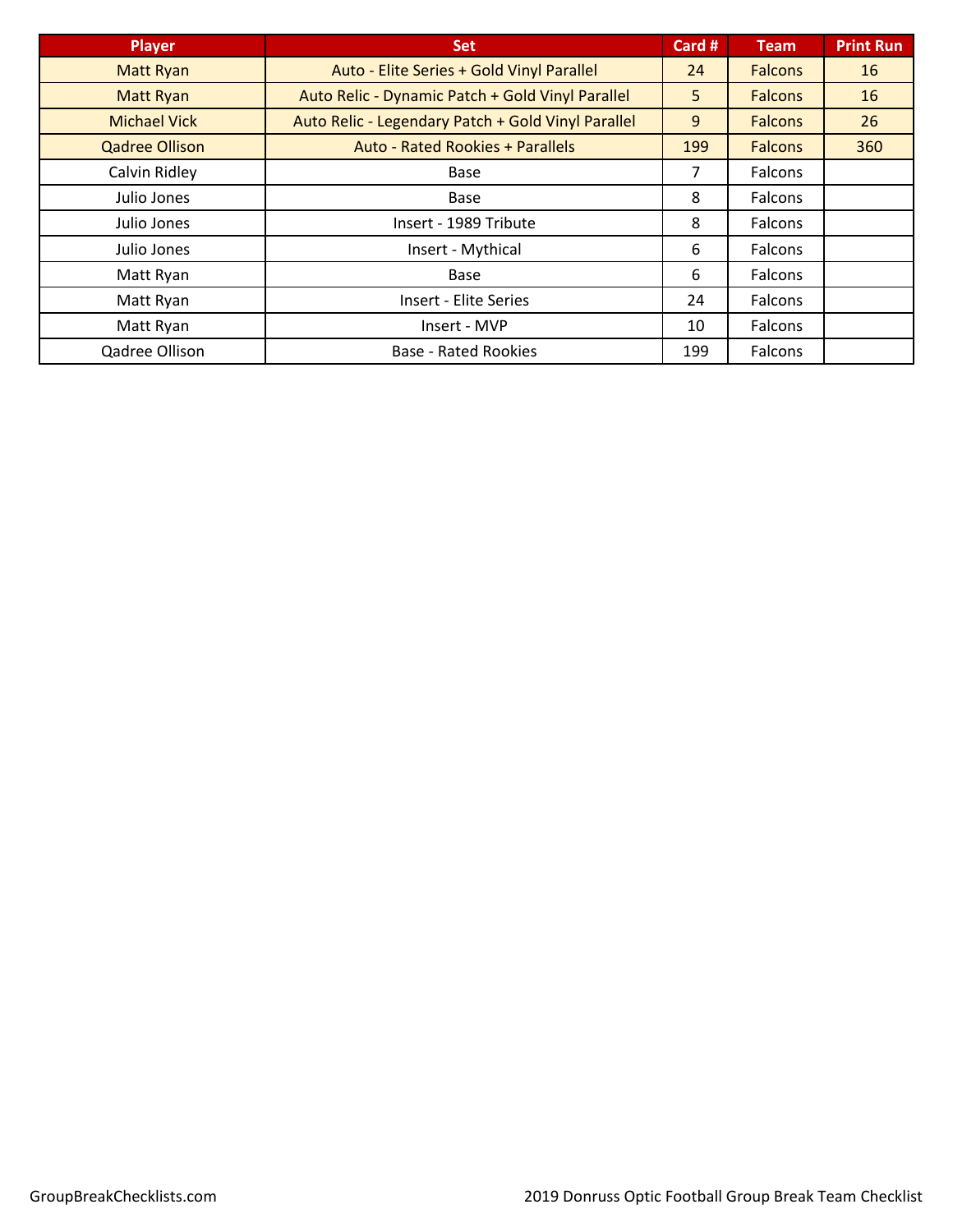| <b>Player</b>         | <b>Set</b>                                         | Card # | <b>Team</b>    | <b>Print Run</b> |
|-----------------------|----------------------------------------------------|--------|----------------|------------------|
| <b>Matt Ryan</b>      | Auto - Elite Series + Gold Vinyl Parallel          | 24     | <b>Falcons</b> | 16               |
| <b>Matt Ryan</b>      | Auto Relic - Dynamic Patch + Gold Vinyl Parallel   | 5      | <b>Falcons</b> | 16               |
| <b>Michael Vick</b>   | Auto Relic - Legendary Patch + Gold Vinyl Parallel | 9      | <b>Falcons</b> | 26               |
| <b>Qadree Ollison</b> | <b>Auto - Rated Rookies + Parallels</b>            | 199    | <b>Falcons</b> | 360              |
| Calvin Ridley         | <b>Base</b>                                        | 7      | <b>Falcons</b> |                  |
| Julio Jones           | <b>Base</b>                                        | 8      | Falcons        |                  |
| Julio Jones           | Insert - 1989 Tribute                              | 8      | Falcons        |                  |
| Julio Jones           | Insert - Mythical                                  | 6      | Falcons        |                  |
| Matt Ryan             | Base                                               | 6      | Falcons        |                  |
| Matt Ryan             | <b>Insert - Elite Series</b>                       | 24     | Falcons        |                  |
| Matt Ryan             | Insert - MVP                                       | 10     | Falcons        |                  |
| Qadree Ollison        | <b>Base - Rated Rookies</b>                        | 199    | Falcons        |                  |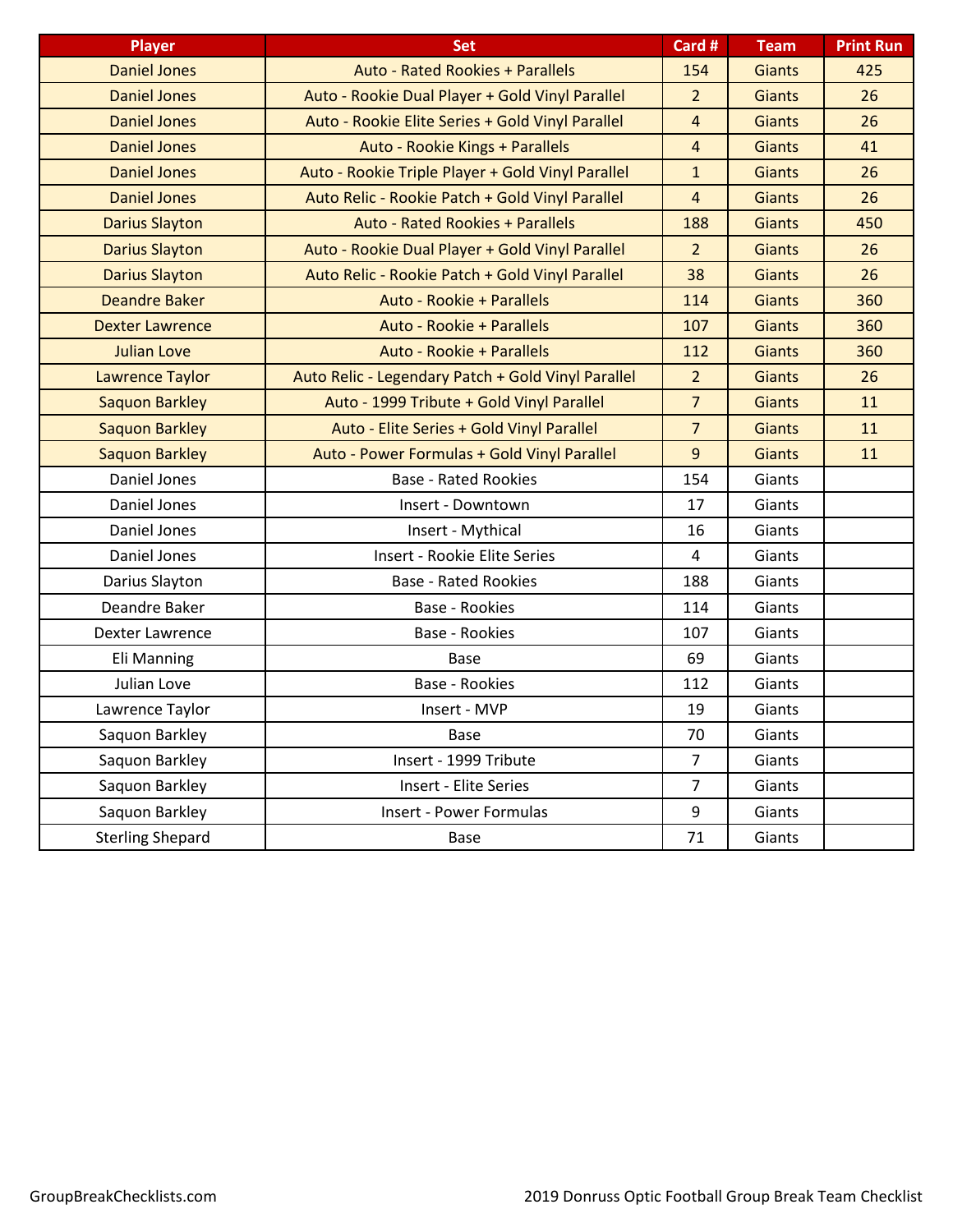| <b>Player</b>           | <b>Set</b>                                         | Card #         | <b>Team</b>   | <b>Print Run</b> |
|-------------------------|----------------------------------------------------|----------------|---------------|------------------|
| <b>Daniel Jones</b>     | <b>Auto - Rated Rookies + Parallels</b>            | 154            | <b>Giants</b> | 425              |
| <b>Daniel Jones</b>     | Auto - Rookie Dual Player + Gold Vinyl Parallel    | $\overline{2}$ | <b>Giants</b> | 26               |
| <b>Daniel Jones</b>     | Auto - Rookie Elite Series + Gold Vinyl Parallel   | $\overline{4}$ | <b>Giants</b> | 26               |
| <b>Daniel Jones</b>     | Auto - Rookie Kings + Parallels                    | $\overline{4}$ | <b>Giants</b> | 41               |
| <b>Daniel Jones</b>     | Auto - Rookie Triple Player + Gold Vinyl Parallel  | $\mathbf{1}$   | <b>Giants</b> | 26               |
| <b>Daniel Jones</b>     | Auto Relic - Rookie Patch + Gold Vinyl Parallel    | $\overline{4}$ | <b>Giants</b> | 26               |
| <b>Darius Slayton</b>   | <b>Auto - Rated Rookies + Parallels</b>            | 188            | <b>Giants</b> | 450              |
| <b>Darius Slayton</b>   | Auto - Rookie Dual Player + Gold Vinyl Parallel    | $\overline{2}$ | <b>Giants</b> | 26               |
| <b>Darius Slayton</b>   | Auto Relic - Rookie Patch + Gold Vinyl Parallel    | 38             | <b>Giants</b> | 26               |
| <b>Deandre Baker</b>    | Auto - Rookie + Parallels                          | 114            | <b>Giants</b> | 360              |
| <b>Dexter Lawrence</b>  | Auto - Rookie + Parallels                          | 107            | <b>Giants</b> | 360              |
| <b>Julian Love</b>      | Auto - Rookie + Parallels                          | 112            | <b>Giants</b> | 360              |
| <b>Lawrence Taylor</b>  | Auto Relic - Legendary Patch + Gold Vinyl Parallel | $\overline{2}$ | <b>Giants</b> | 26               |
| <b>Saquon Barkley</b>   | Auto - 1999 Tribute + Gold Vinyl Parallel          | $\overline{7}$ | <b>Giants</b> | 11               |
| <b>Saquon Barkley</b>   | Auto - Elite Series + Gold Vinyl Parallel          | $\overline{7}$ | <b>Giants</b> | 11               |
| <b>Saquon Barkley</b>   | Auto - Power Formulas + Gold Vinyl Parallel        | 9              | <b>Giants</b> | 11               |
| Daniel Jones            | <b>Base - Rated Rookies</b>                        | 154            | Giants        |                  |
| Daniel Jones            | Insert - Downtown                                  | 17             | Giants        |                  |
| Daniel Jones            | Insert - Mythical                                  | 16             | Giants        |                  |
| Daniel Jones            | <b>Insert - Rookie Elite Series</b>                | 4              | Giants        |                  |
| Darius Slayton          | <b>Base - Rated Rookies</b>                        | 188            | Giants        |                  |
| Deandre Baker           | <b>Base - Rookies</b>                              | 114            | Giants        |                  |
| Dexter Lawrence         | <b>Base - Rookies</b>                              | 107            | Giants        |                  |
| Eli Manning             | Base                                               | 69             | Giants        |                  |
| Julian Love             | Base - Rookies                                     | 112            | Giants        |                  |
| Lawrence Taylor         | Insert - MVP                                       | 19             | Giants        |                  |
| Saquon Barkley          | Base                                               | 70             | Giants        |                  |
| Saquon Barkley          | Insert - 1999 Tribute                              | $\overline{7}$ | Giants        |                  |
| Saquon Barkley          | Insert - Elite Series                              | $\overline{7}$ | Giants        |                  |
| Saquon Barkley          | Insert - Power Formulas                            | 9              | Giants        |                  |
| <b>Sterling Shepard</b> | Base                                               | 71             | Giants        |                  |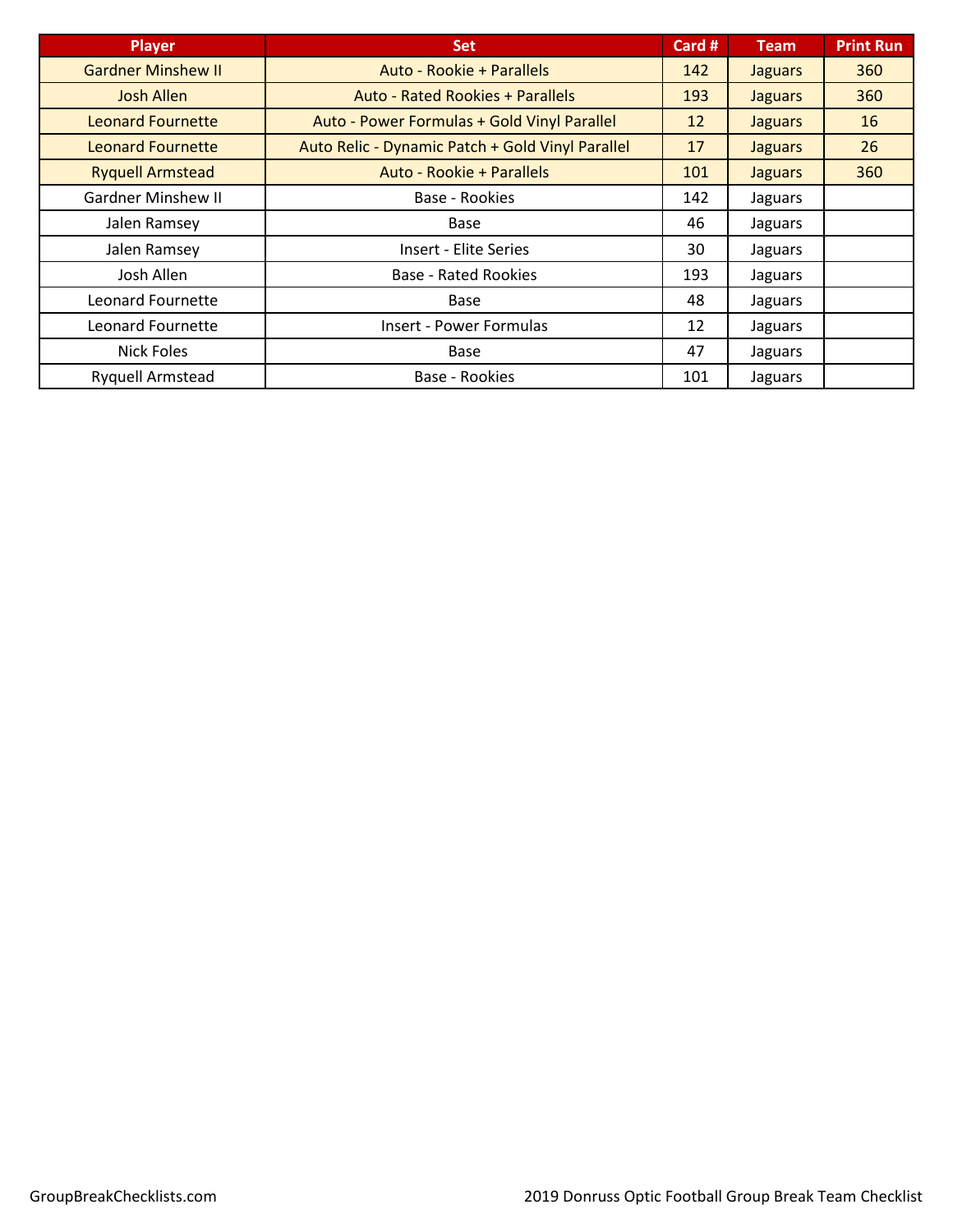| <b>Player</b>             | <b>Set</b>                                       | Card # | <b>Team</b>    | <b>Print Run</b> |
|---------------------------|--------------------------------------------------|--------|----------------|------------------|
| <b>Gardner Minshew II</b> | Auto - Rookie + Parallels                        | 142    | <b>Jaguars</b> | 360              |
| <b>Josh Allen</b>         | <b>Auto - Rated Rookies + Parallels</b>          | 193    | <b>Jaguars</b> | 360              |
| <b>Leonard Fournette</b>  | Auto - Power Formulas + Gold Vinyl Parallel      | 12     | <b>Jaguars</b> | <b>16</b>        |
| <b>Leonard Fournette</b>  | Auto Relic - Dynamic Patch + Gold Vinyl Parallel | 17     | <b>Jaguars</b> | 26               |
| <b>Ryquell Armstead</b>   | Auto - Rookie + Parallels                        | 101    | <b>Jaguars</b> | 360              |
| <b>Gardner Minshew II</b> | Base - Rookies                                   | 142    | Jaguars        |                  |
| Jalen Ramsey              | Base                                             | 46     | Jaguars        |                  |
| Jalen Ramsey              | <b>Insert - Elite Series</b>                     | 30     | Jaguars        |                  |
| Josh Allen                | <b>Base - Rated Rookies</b>                      | 193    | Jaguars        |                  |
| Leonard Fournette         | Base                                             | 48     | Jaguars        |                  |
| <b>Leonard Fournette</b>  | <b>Insert - Power Formulas</b>                   | 12     | Jaguars        |                  |
| <b>Nick Foles</b>         | Base                                             | 47     | Jaguars        |                  |
| <b>Ryquell Armstead</b>   | Base - Rookies                                   | 101    | Jaguars        |                  |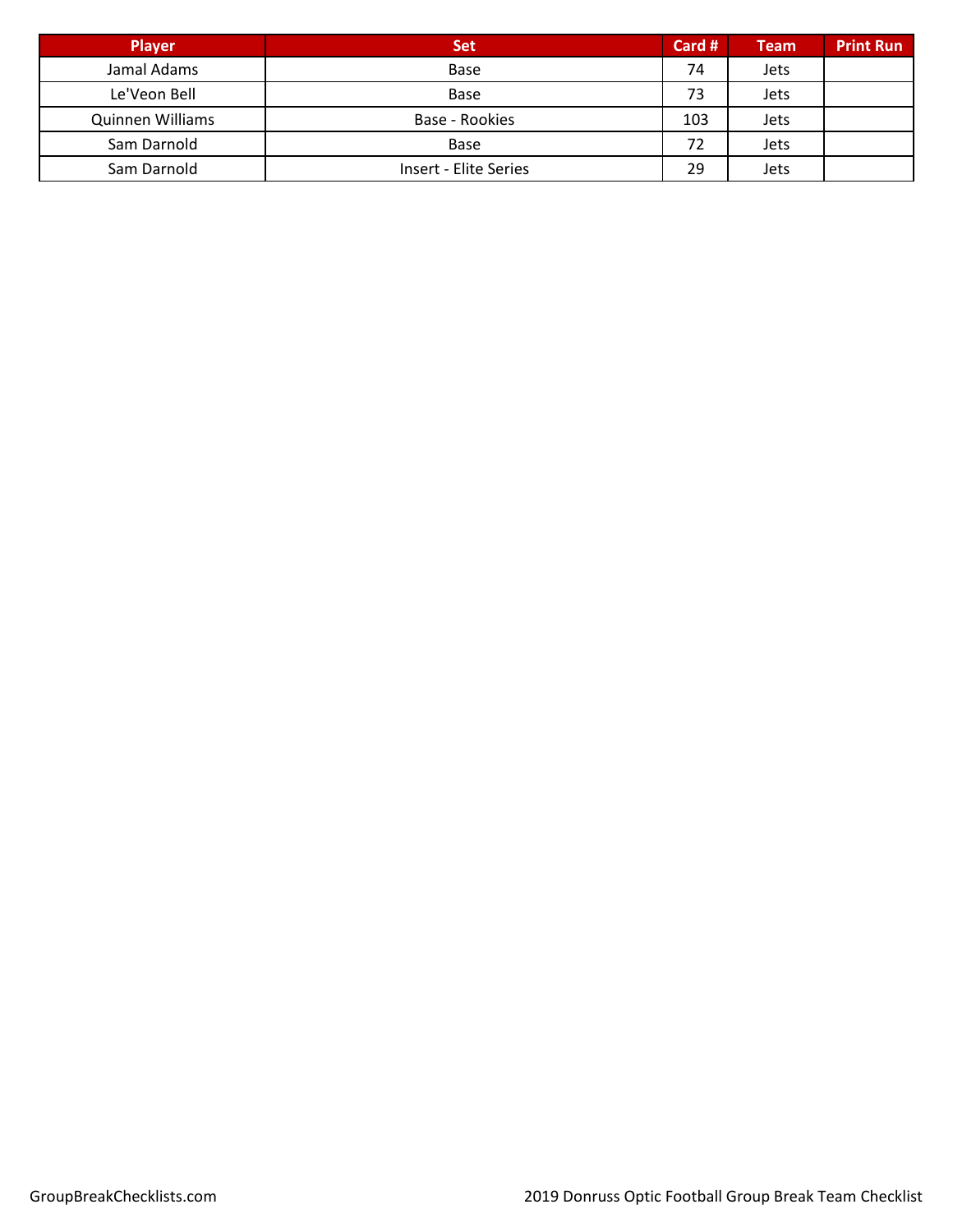| Player           | <b>Set</b>                   | Card # | <b>Team</b> | <b>Print Run</b> |
|------------------|------------------------------|--------|-------------|------------------|
| Jamal Adams      | Base                         | 74     | <b>Jets</b> |                  |
| Le'Veon Bell     | Base                         | 73     | <b>Jets</b> |                  |
| Quinnen Williams | Base - Rookies               | 103    | <b>Jets</b> |                  |
| Sam Darnold      | Base                         | 72     | <b>Jets</b> |                  |
| Sam Darnold      | <b>Insert - Elite Series</b> | 29     | <b>Jets</b> |                  |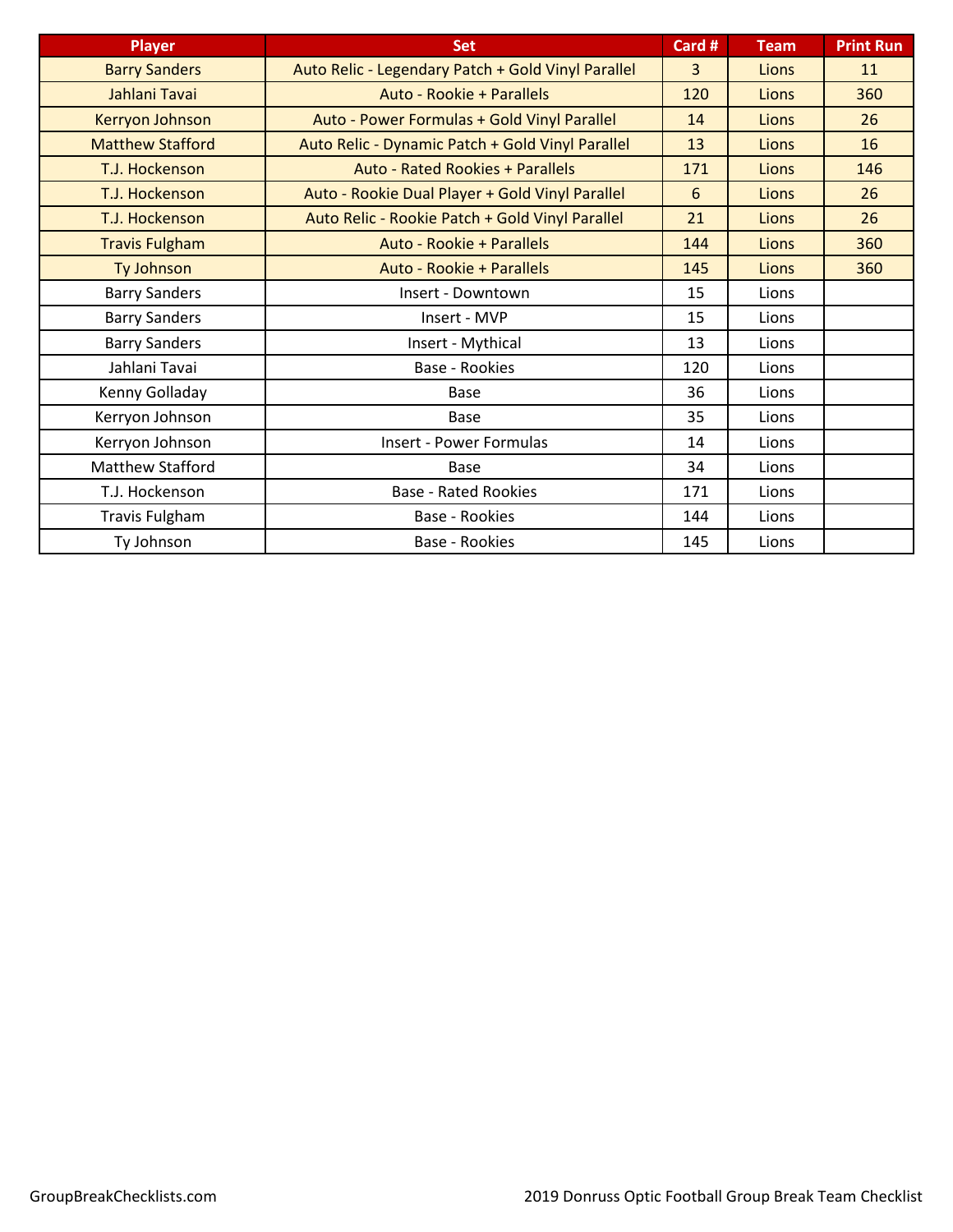| <b>Player</b>           | <b>Set</b>                                         | Card #         | <b>Team</b> | <b>Print Run</b> |
|-------------------------|----------------------------------------------------|----------------|-------------|------------------|
| <b>Barry Sanders</b>    | Auto Relic - Legendary Patch + Gold Vinyl Parallel | $\overline{3}$ | Lions       | 11               |
| Jahlani Tavai           | Auto - Rookie + Parallels                          | 120            | Lions       | 360              |
| Kerryon Johnson         | Auto - Power Formulas + Gold Vinyl Parallel        | 14             | Lions       | 26               |
| <b>Matthew Stafford</b> | Auto Relic - Dynamic Patch + Gold Vinyl Parallel   | 13             | Lions       | 16               |
| T.J. Hockenson          | <b>Auto - Rated Rookies + Parallels</b>            | 171            | Lions       | 146              |
| T.J. Hockenson          | Auto - Rookie Dual Player + Gold Vinyl Parallel    | 6              | Lions       | 26               |
| T.J. Hockenson          | Auto Relic - Rookie Patch + Gold Vinyl Parallel    | 21             | Lions       | 26               |
| <b>Travis Fulgham</b>   | Auto - Rookie + Parallels                          | 144            | Lions       | 360              |
| Ty Johnson              | Auto - Rookie + Parallels                          | 145            | Lions       | 360              |
| <b>Barry Sanders</b>    | Insert - Downtown                                  | 15             | Lions       |                  |
| <b>Barry Sanders</b>    | Insert - MVP                                       | 15             | Lions       |                  |
| <b>Barry Sanders</b>    | Insert - Mythical                                  | 13             | Lions       |                  |
| Jahlani Tavai           | Base - Rookies                                     | 120            | Lions       |                  |
| Kenny Golladay          | <b>Base</b>                                        | 36             | Lions       |                  |
| Kerryon Johnson         | <b>Base</b>                                        | 35             | Lions       |                  |
| Kerryon Johnson         | <b>Insert - Power Formulas</b>                     | 14             | Lions       |                  |
| Matthew Stafford        | Base                                               | 34             | Lions       |                  |
| T.J. Hockenson          | <b>Base - Rated Rookies</b>                        | 171            | Lions       |                  |
| <b>Travis Fulgham</b>   | Base - Rookies                                     | 144            | Lions       |                  |
| Ty Johnson              | Base - Rookies                                     | 145            | Lions       |                  |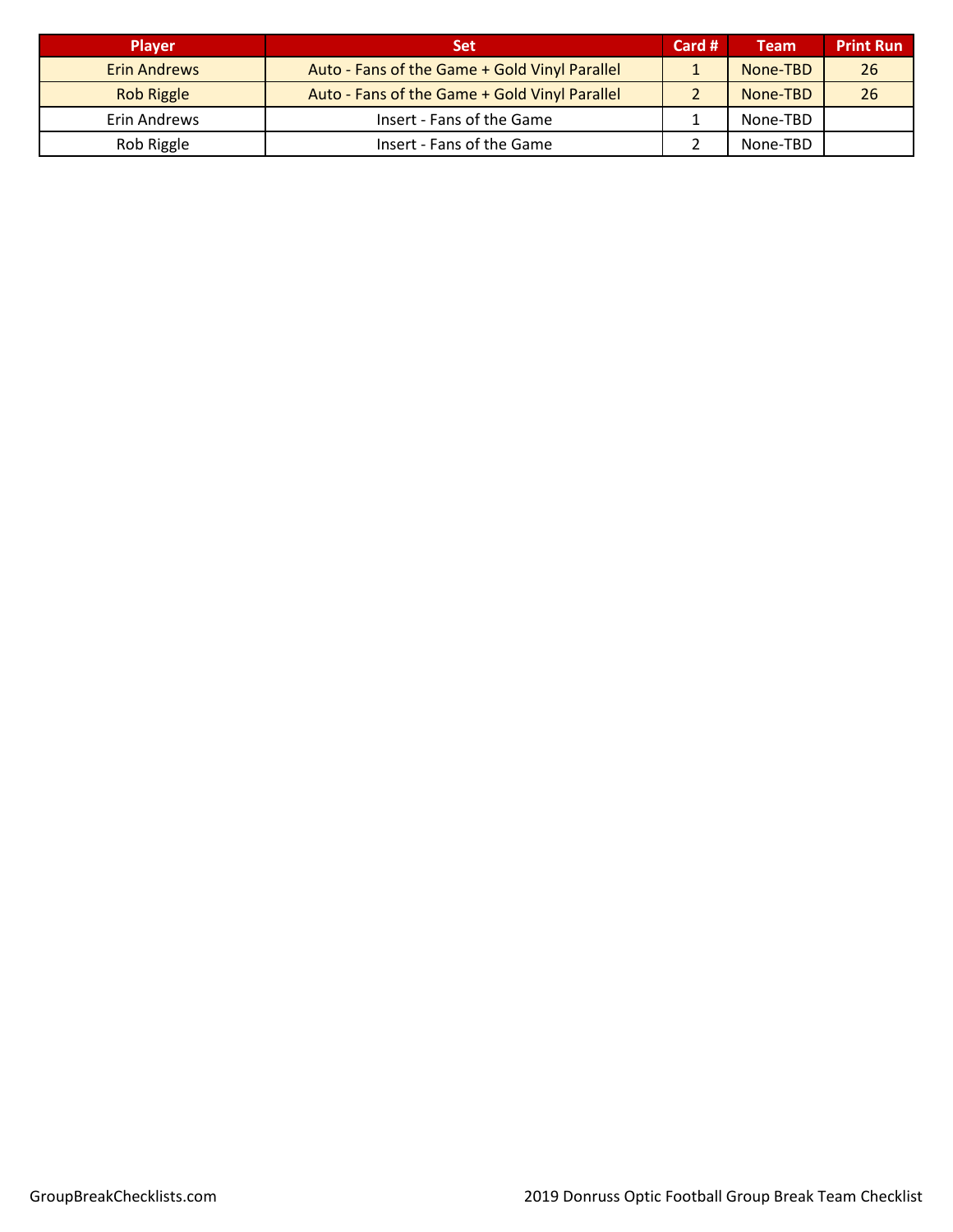| <b>Player</b>       | <b>Set</b>                                    | Card # | <b>Team</b> | <b>Print Run</b> |
|---------------------|-----------------------------------------------|--------|-------------|------------------|
| <b>Erin Andrews</b> | Auto - Fans of the Game + Gold Vinyl Parallel |        | None-TBD    | 26               |
| <b>Rob Riggle</b>   | Auto - Fans of the Game + Gold Vinyl Parallel |        | None-TBD    | 26               |
| Erin Andrews        | Insert - Fans of the Game                     |        | None-TBD    |                  |
| Rob Riggle          | Insert - Fans of the Game                     |        | None-TBD    |                  |
|                     |                                               |        |             |                  |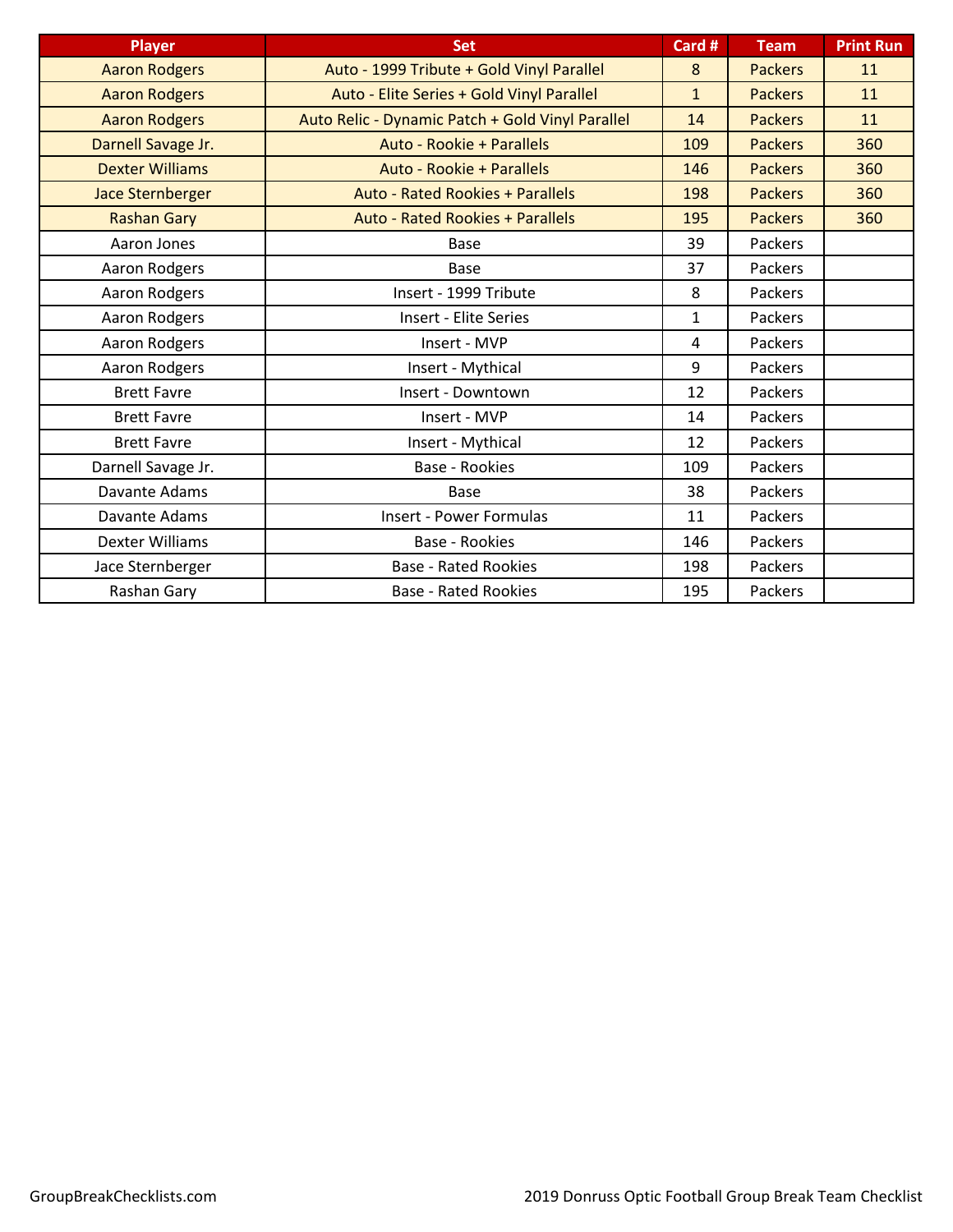| <b>Player</b>           | <b>Set</b>                                       | Card #       | <b>Team</b>    | <b>Print Run</b> |
|-------------------------|--------------------------------------------------|--------------|----------------|------------------|
| <b>Aaron Rodgers</b>    | Auto - 1999 Tribute + Gold Vinyl Parallel        | 8            | <b>Packers</b> | 11               |
| <b>Aaron Rodgers</b>    | Auto - Elite Series + Gold Vinyl Parallel        | $\mathbf{1}$ | <b>Packers</b> | 11               |
| <b>Aaron Rodgers</b>    | Auto Relic - Dynamic Patch + Gold Vinyl Parallel | 14           | <b>Packers</b> | 11               |
| Darnell Savage Jr.      | Auto - Rookie + Parallels                        | 109          | <b>Packers</b> | 360              |
| <b>Dexter Williams</b>  | Auto - Rookie + Parallels                        | 146          | <b>Packers</b> | 360              |
| <b>Jace Sternberger</b> | <b>Auto - Rated Rookies + Parallels</b>          | 198          | <b>Packers</b> | 360              |
| <b>Rashan Gary</b>      | <b>Auto - Rated Rookies + Parallels</b>          | 195          | <b>Packers</b> | 360              |
| Aaron Jones             | <b>Base</b>                                      | 39           | Packers        |                  |
| Aaron Rodgers           | <b>Base</b>                                      | 37           | Packers        |                  |
| Aaron Rodgers           | Insert - 1999 Tribute                            | 8            | Packers        |                  |
| Aaron Rodgers           | <b>Insert - Elite Series</b>                     | $\mathbf{1}$ | Packers        |                  |
| Aaron Rodgers           | Insert - MVP                                     | 4            | Packers        |                  |
| Aaron Rodgers           | Insert - Mythical                                | 9            | Packers        |                  |
| <b>Brett Favre</b>      | Insert - Downtown                                | 12           | Packers        |                  |
| <b>Brett Favre</b>      | Insert - MVP                                     | 14           | Packers        |                  |
| <b>Brett Favre</b>      | Insert - Mythical                                | 12           | Packers        |                  |
| Darnell Savage Jr.      | <b>Base - Rookies</b>                            | 109          | Packers        |                  |
| Davante Adams           | <b>Base</b>                                      | 38           | Packers        |                  |
| Davante Adams           | <b>Insert - Power Formulas</b>                   | 11           | Packers        |                  |
| <b>Dexter Williams</b>  | <b>Base - Rookies</b>                            | 146          | Packers        |                  |
| Jace Sternberger        | <b>Base - Rated Rookies</b>                      | 198          | Packers        |                  |
| Rashan Gary             | <b>Base - Rated Rookies</b>                      | 195          | Packers        |                  |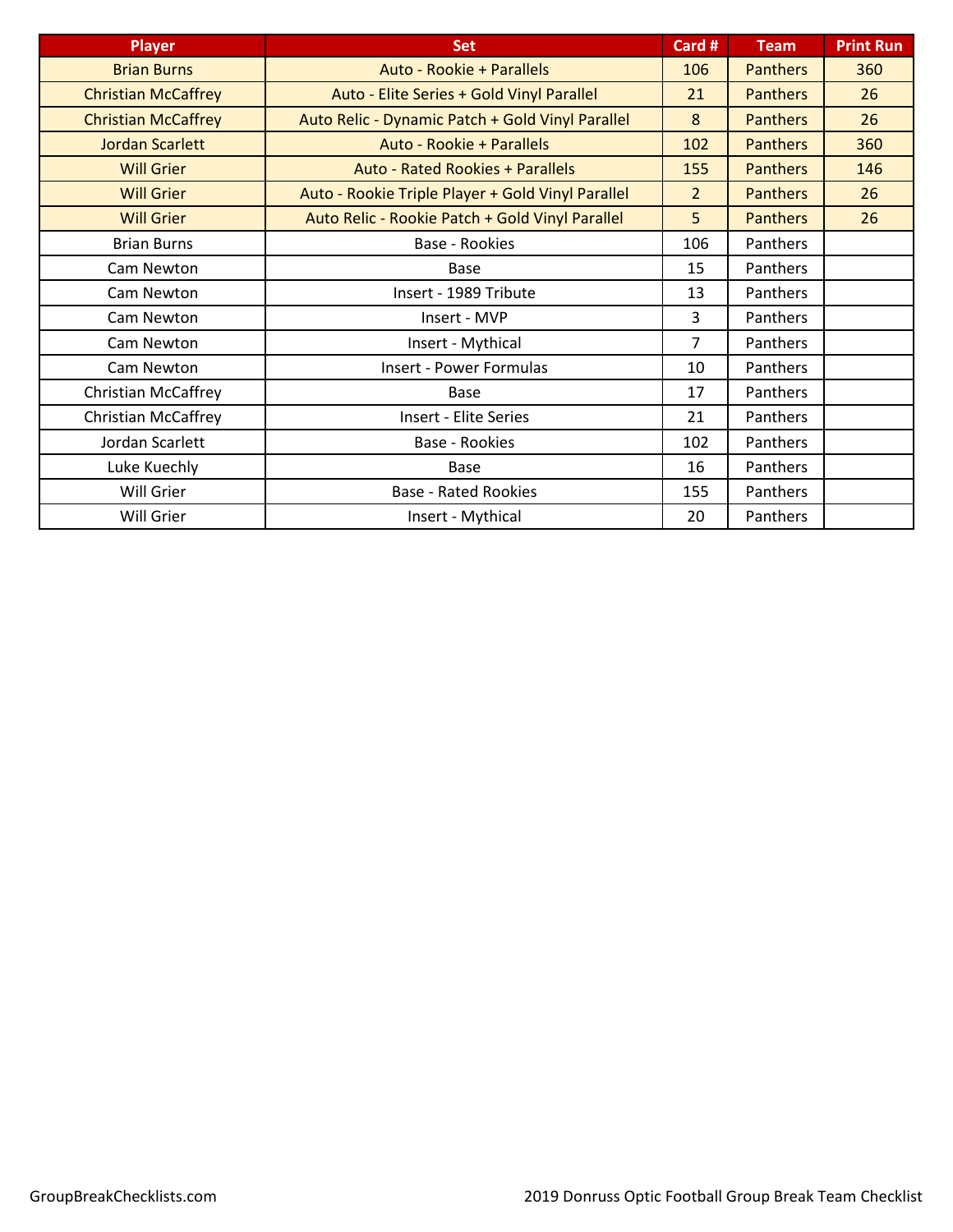| <b>Player</b>              | <b>Set</b>                                        | Card #         | <b>Team</b>     | <b>Print Run</b> |
|----------------------------|---------------------------------------------------|----------------|-----------------|------------------|
| <b>Brian Burns</b>         | Auto - Rookie + Parallels                         | 106            | <b>Panthers</b> | 360              |
| <b>Christian McCaffrey</b> | Auto - Elite Series + Gold Vinyl Parallel         | 21             | <b>Panthers</b> | 26               |
| <b>Christian McCaffrey</b> | Auto Relic - Dynamic Patch + Gold Vinyl Parallel  | 8              | <b>Panthers</b> | 26               |
| <b>Jordan Scarlett</b>     | Auto - Rookie + Parallels                         | 102            | <b>Panthers</b> | 360              |
| <b>Will Grier</b>          | <b>Auto - Rated Rookies + Parallels</b>           | 155            | <b>Panthers</b> | 146              |
| <b>Will Grier</b>          | Auto - Rookie Triple Player + Gold Vinyl Parallel | $\overline{2}$ | <b>Panthers</b> | 26               |
| <b>Will Grier</b>          | Auto Relic - Rookie Patch + Gold Vinyl Parallel   | 5              | <b>Panthers</b> | 26               |
| <b>Brian Burns</b>         | Base - Rookies                                    | 106            | Panthers        |                  |
| Cam Newton                 | <b>Base</b>                                       | 15             | Panthers        |                  |
| Cam Newton                 | Insert - 1989 Tribute                             | 13             | Panthers        |                  |
| Cam Newton                 | Insert - MVP                                      | 3              | Panthers        |                  |
| Cam Newton                 | Insert - Mythical                                 | 7              | Panthers        |                  |
| Cam Newton                 | <b>Insert - Power Formulas</b>                    | 10             | Panthers        |                  |
| <b>Christian McCaffrey</b> | Base                                              | 17             | Panthers        |                  |
| <b>Christian McCaffrey</b> | <b>Insert - Elite Series</b>                      | 21             | Panthers        |                  |
| Jordan Scarlett            | Base - Rookies                                    | 102            | Panthers        |                  |
| Luke Kuechly               | <b>Base</b>                                       | 16             | Panthers        |                  |
| Will Grier                 | <b>Base - Rated Rookies</b>                       | 155            | Panthers        |                  |
| Will Grier                 | Insert - Mythical                                 | 20             | Panthers        |                  |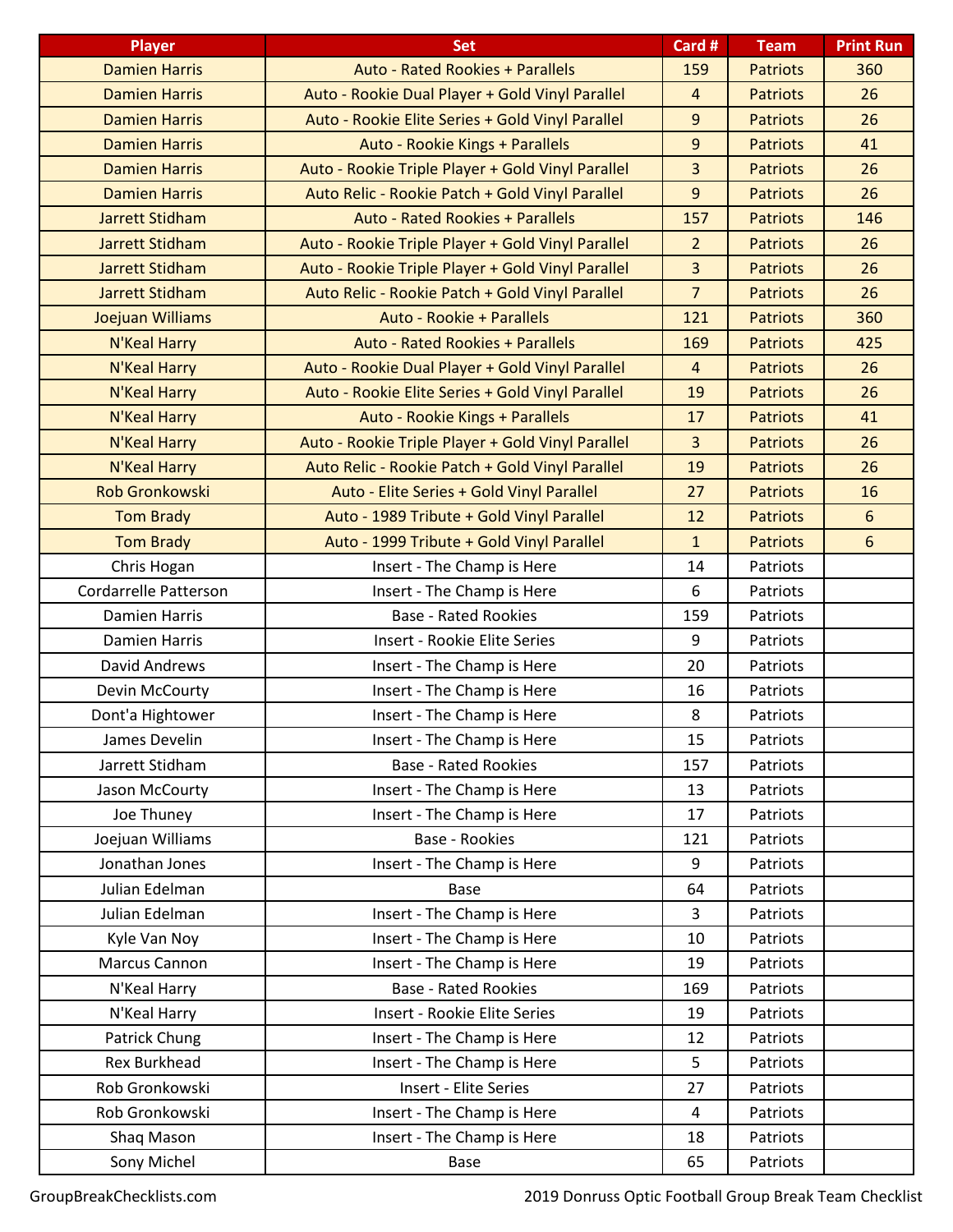| <b>Player</b>          | <b>Set</b>                                        | Card #           | <b>Team</b>     | <b>Print Run</b> |
|------------------------|---------------------------------------------------|------------------|-----------------|------------------|
| <b>Damien Harris</b>   | <b>Auto - Rated Rookies + Parallels</b>           | 159              | <b>Patriots</b> | 360              |
| <b>Damien Harris</b>   | Auto - Rookie Dual Player + Gold Vinyl Parallel   | $\overline{4}$   | <b>Patriots</b> | 26               |
| <b>Damien Harris</b>   | Auto - Rookie Elite Series + Gold Vinyl Parallel  | 9                | <b>Patriots</b> | 26               |
| <b>Damien Harris</b>   | Auto - Rookie Kings + Parallels                   | $\boldsymbol{9}$ | <b>Patriots</b> | 41               |
| <b>Damien Harris</b>   | Auto - Rookie Triple Player + Gold Vinyl Parallel | 3                | <b>Patriots</b> | 26               |
| <b>Damien Harris</b>   | Auto Relic - Rookie Patch + Gold Vinyl Parallel   | 9                | <b>Patriots</b> | 26               |
| Jarrett Stidham        | <b>Auto - Rated Rookies + Parallels</b>           | 157              | <b>Patriots</b> | 146              |
| <b>Jarrett Stidham</b> | Auto - Rookie Triple Player + Gold Vinyl Parallel | $\overline{2}$   | <b>Patriots</b> | 26               |
| Jarrett Stidham        | Auto - Rookie Triple Player + Gold Vinyl Parallel | $\overline{3}$   | <b>Patriots</b> | 26               |
| <b>Jarrett Stidham</b> | Auto Relic - Rookie Patch + Gold Vinyl Parallel   | $\overline{7}$   | <b>Patriots</b> | 26               |
| Joejuan Williams       | Auto - Rookie + Parallels                         | 121              | <b>Patriots</b> | 360              |
| N'Keal Harry           | <b>Auto - Rated Rookies + Parallels</b>           | 169              | <b>Patriots</b> | 425              |
| N'Keal Harry           | Auto - Rookie Dual Player + Gold Vinyl Parallel   | $\overline{4}$   | <b>Patriots</b> | 26               |
| N'Keal Harry           | Auto - Rookie Elite Series + Gold Vinyl Parallel  | 19               | <b>Patriots</b> | 26               |
| N'Keal Harry           | Auto - Rookie Kings + Parallels                   | 17               | <b>Patriots</b> | 41               |
| N'Keal Harry           | Auto - Rookie Triple Player + Gold Vinyl Parallel | 3                | <b>Patriots</b> | 26               |
| N'Keal Harry           | Auto Relic - Rookie Patch + Gold Vinyl Parallel   | 19               | <b>Patriots</b> | 26               |
| <b>Rob Gronkowski</b>  | Auto - Elite Series + Gold Vinyl Parallel         | 27               | <b>Patriots</b> | 16               |
| <b>Tom Brady</b>       | Auto - 1989 Tribute + Gold Vinyl Parallel         | 12               | <b>Patriots</b> | 6                |
| <b>Tom Brady</b>       | Auto - 1999 Tribute + Gold Vinyl Parallel         | $\mathbf{1}$     | <b>Patriots</b> | $6\phantom{1}6$  |
| Chris Hogan            | Insert - The Champ is Here                        | 14               | Patriots        |                  |
| Cordarrelle Patterson  | Insert - The Champ is Here                        | 6                | Patriots        |                  |
| <b>Damien Harris</b>   | <b>Base - Rated Rookies</b>                       | 159              | Patriots        |                  |
| <b>Damien Harris</b>   | Insert - Rookie Elite Series                      | 9                | Patriots        |                  |
| David Andrews          | Insert - The Champ is Here                        | 20               | Patriots        |                  |
| Devin McCourty         | Insert - The Champ is Here                        | 16               | Patriots        |                  |
| Dont'a Hightower       | Insert - The Champ is Here                        | 8                | Patriots        |                  |
| James Develin          | Insert - The Champ is Here                        | 15               | Patriots        |                  |
| Jarrett Stidham        | <b>Base - Rated Rookies</b>                       | 157              | Patriots        |                  |
| Jason McCourty         | Insert - The Champ is Here                        | 13               | Patriots        |                  |
| Joe Thuney             | Insert - The Champ is Here                        | 17               | Patriots        |                  |
| Joejuan Williams       | <b>Base - Rookies</b>                             | 121              | Patriots        |                  |
| Jonathan Jones         | Insert - The Champ is Here                        | 9                | Patriots        |                  |
| Julian Edelman         | <b>Base</b>                                       | 64               | Patriots        |                  |
| Julian Edelman         | Insert - The Champ is Here                        | 3                | Patriots        |                  |
| Kyle Van Noy           | Insert - The Champ is Here                        | 10               | Patriots        |                  |
| Marcus Cannon          | Insert - The Champ is Here                        | 19               | Patriots        |                  |
| N'Keal Harry           | <b>Base - Rated Rookies</b>                       | 169              | Patriots        |                  |
| N'Keal Harry           | Insert - Rookie Elite Series                      | 19               | Patriots        |                  |
| Patrick Chung          | Insert - The Champ is Here                        | 12               | Patriots        |                  |
| <b>Rex Burkhead</b>    | Insert - The Champ is Here                        | 5                | Patriots        |                  |
| Rob Gronkowski         | <b>Insert - Elite Series</b>                      | 27               | Patriots        |                  |
| Rob Gronkowski         | Insert - The Champ is Here                        | 4                | Patriots        |                  |
| Shaq Mason             | Insert - The Champ is Here                        | 18               | Patriots        |                  |
| Sony Michel            | Base                                              | 65               | Patriots        |                  |

GroupBreakChecklists.com 2019 Donruss Optic Football Group Break Team Checklist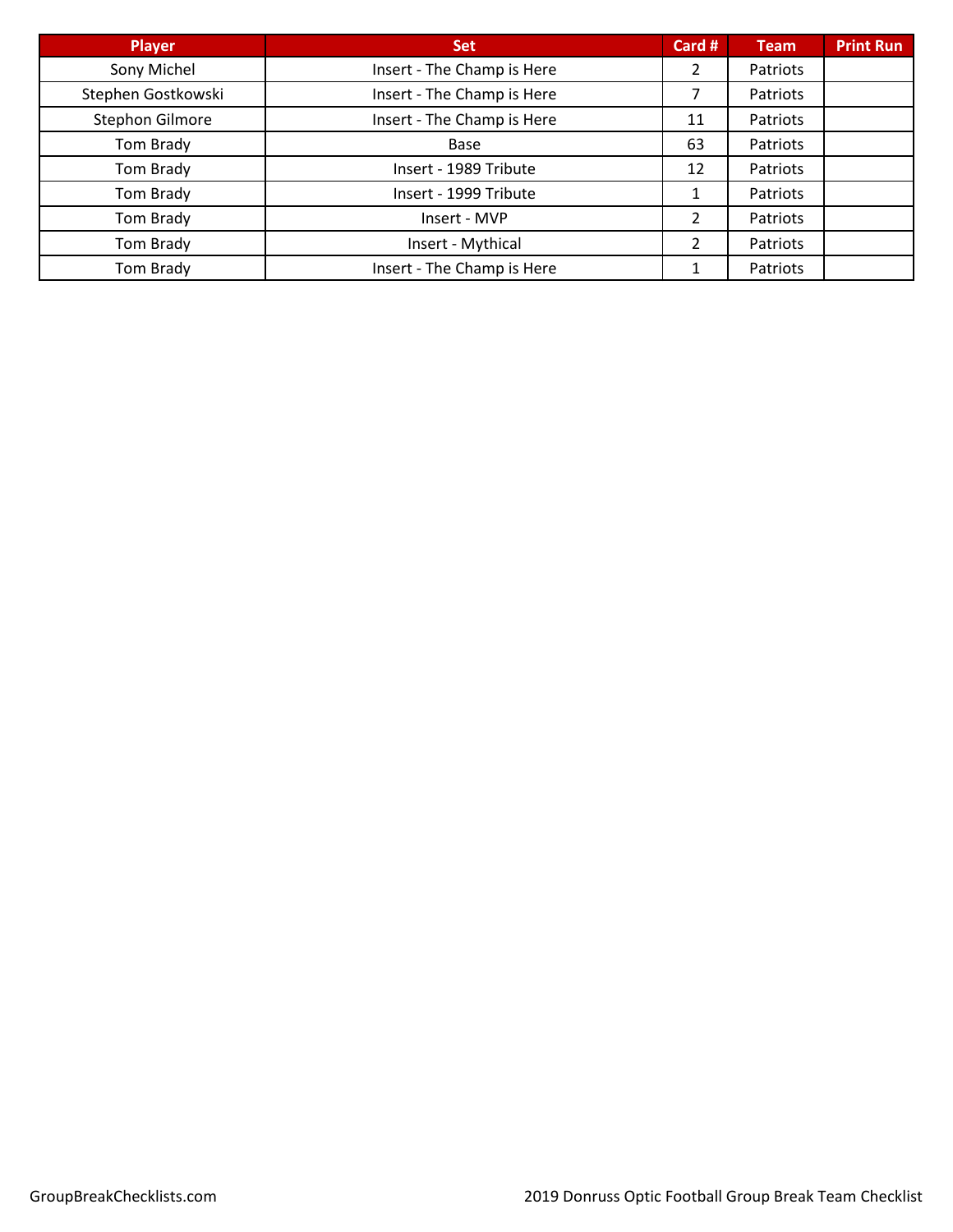| <b>Player</b>      | <b>Set</b>                 | Card # | <b>Team</b> | <b>Print Run</b> |
|--------------------|----------------------------|--------|-------------|------------------|
| Sony Michel        | Insert - The Champ is Here | 2      | Patriots    |                  |
| Stephen Gostkowski | Insert - The Champ is Here |        | Patriots    |                  |
| Stephon Gilmore    | Insert - The Champ is Here | 11     | Patriots    |                  |
| Tom Brady          | Base                       | 63     | Patriots    |                  |
| Tom Brady          | Insert - 1989 Tribute      | 12     | Patriots    |                  |
| Tom Brady          | Insert - 1999 Tribute      | 1      | Patriots    |                  |
| Tom Brady          | Insert - MVP               | 2      | Patriots    |                  |
| Tom Brady          | Insert - Mythical          | 2      | Patriots    |                  |
| Tom Brady          | Insert - The Champ is Here | 1      | Patriots    |                  |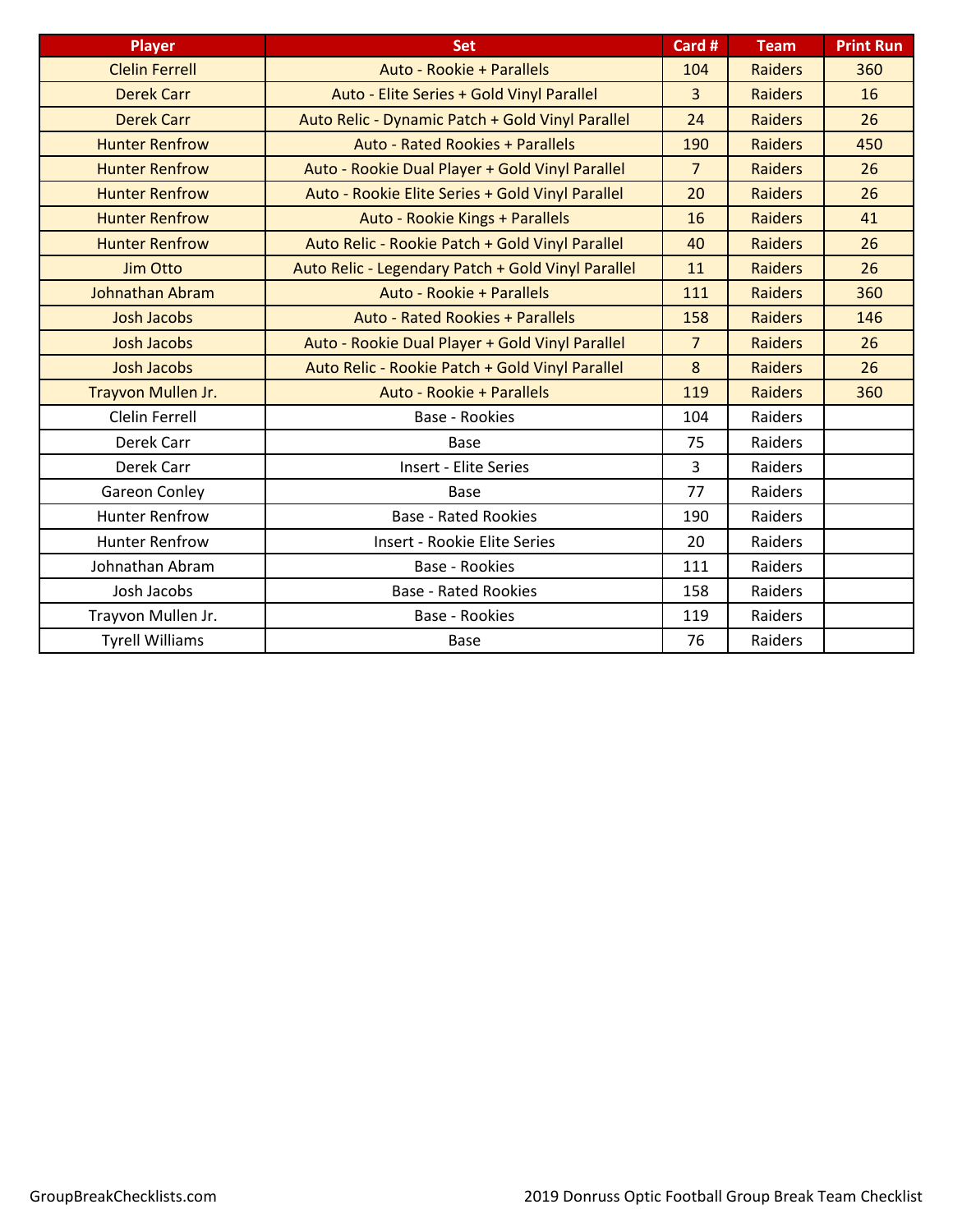| <b>Player</b>          | <b>Set</b>                                         | Card #         | <b>Team</b>    | <b>Print Run</b> |
|------------------------|----------------------------------------------------|----------------|----------------|------------------|
| <b>Clelin Ferrell</b>  | Auto - Rookie + Parallels                          | 104            | <b>Raiders</b> | 360              |
| <b>Derek Carr</b>      | Auto - Elite Series + Gold Vinyl Parallel          | 3              | <b>Raiders</b> | 16               |
| <b>Derek Carr</b>      | Auto Relic - Dynamic Patch + Gold Vinyl Parallel   | 24             | <b>Raiders</b> | 26               |
| <b>Hunter Renfrow</b>  | <b>Auto - Rated Rookies + Parallels</b>            | 190            | <b>Raiders</b> | 450              |
| <b>Hunter Renfrow</b>  | Auto - Rookie Dual Player + Gold Vinyl Parallel    | $\overline{7}$ | <b>Raiders</b> | 26               |
| <b>Hunter Renfrow</b>  | Auto - Rookie Elite Series + Gold Vinyl Parallel   | 20             | <b>Raiders</b> | 26               |
| <b>Hunter Renfrow</b>  | Auto - Rookie Kings + Parallels                    | 16             | <b>Raiders</b> | 41               |
| <b>Hunter Renfrow</b>  | Auto Relic - Rookie Patch + Gold Vinyl Parallel    | 40             | <b>Raiders</b> | 26               |
| <b>Jim Otto</b>        | Auto Relic - Legendary Patch + Gold Vinyl Parallel | 11             | <b>Raiders</b> | 26               |
| <b>Johnathan Abram</b> | Auto - Rookie + Parallels                          | 111            | <b>Raiders</b> | 360              |
| <b>Josh Jacobs</b>     | <b>Auto - Rated Rookies + Parallels</b>            | 158            | <b>Raiders</b> | 146              |
| <b>Josh Jacobs</b>     | Auto - Rookie Dual Player + Gold Vinyl Parallel    | $\overline{7}$ | <b>Raiders</b> | 26               |
| <b>Josh Jacobs</b>     | Auto Relic - Rookie Patch + Gold Vinyl Parallel    | 8              | <b>Raiders</b> | 26               |
| Trayvon Mullen Jr.     | Auto - Rookie + Parallels                          | 119            | <b>Raiders</b> | 360              |
| Clelin Ferrell         | <b>Base - Rookies</b>                              | 104            | Raiders        |                  |
| Derek Carr             | Base                                               | 75             | Raiders        |                  |
| Derek Carr             | <b>Insert - Elite Series</b>                       | $\overline{3}$ | Raiders        |                  |
| Gareon Conley          | Base                                               | 77             | Raiders        |                  |
| <b>Hunter Renfrow</b>  | <b>Base - Rated Rookies</b>                        | 190            | Raiders        |                  |
| <b>Hunter Renfrow</b>  | <b>Insert - Rookie Elite Series</b>                | 20             | Raiders        |                  |
| Johnathan Abram        | <b>Base - Rookies</b>                              | 111            | Raiders        |                  |
| Josh Jacobs            | <b>Base - Rated Rookies</b>                        | 158            | Raiders        |                  |
| Trayvon Mullen Jr.     | <b>Base - Rookies</b>                              | 119            | Raiders        |                  |
| <b>Tyrell Williams</b> | <b>Base</b>                                        | 76             | Raiders        |                  |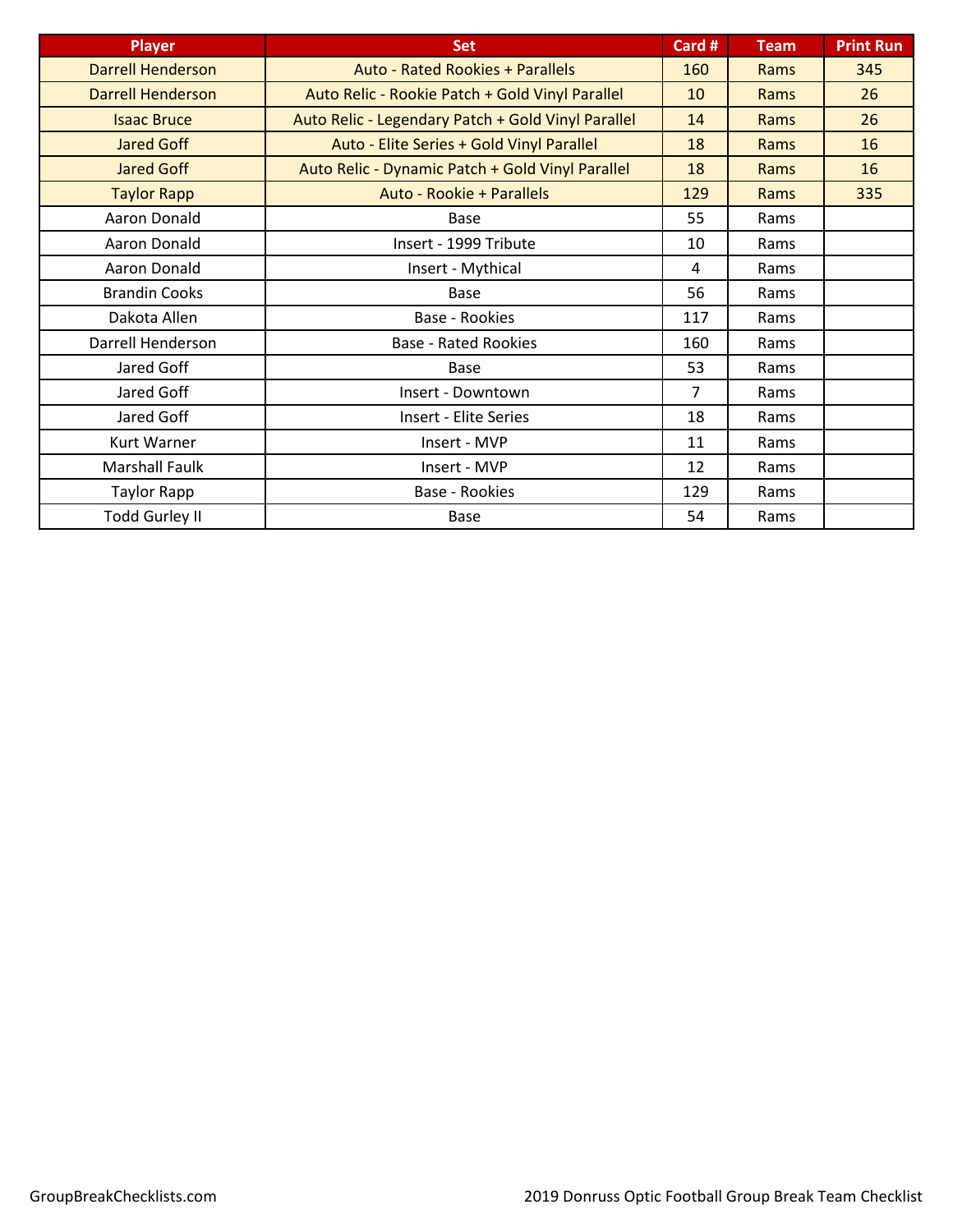| <b>Player</b>            | <b>Set</b>                                         | Card #         | <b>Team</b> | <b>Print Run</b> |
|--------------------------|----------------------------------------------------|----------------|-------------|------------------|
| <b>Darrell Henderson</b> | <b>Auto - Rated Rookies + Parallels</b>            | 160            | Rams        | 345              |
| <b>Darrell Henderson</b> | Auto Relic - Rookie Patch + Gold Vinyl Parallel    | 10             | Rams        | 26               |
| <b>Isaac Bruce</b>       | Auto Relic - Legendary Patch + Gold Vinyl Parallel | 14             | Rams        | 26               |
| <b>Jared Goff</b>        | Auto - Elite Series + Gold Vinyl Parallel          | 18             | Rams        | 16               |
| <b>Jared Goff</b>        | Auto Relic - Dynamic Patch + Gold Vinyl Parallel   | 18             | Rams        | 16               |
| <b>Taylor Rapp</b>       | Auto - Rookie + Parallels                          | 129            | Rams        | 335              |
| Aaron Donald             | Base                                               | 55             | Rams        |                  |
| Aaron Donald             | Insert - 1999 Tribute                              | 10             | Rams        |                  |
| Aaron Donald             | Insert - Mythical                                  | 4              | Rams        |                  |
| <b>Brandin Cooks</b>     | Base                                               | 56             | Rams        |                  |
| Dakota Allen             | <b>Base - Rookies</b>                              | 117            | Rams        |                  |
| Darrell Henderson        | <b>Base - Rated Rookies</b>                        | 160            | Rams        |                  |
| Jared Goff               | Base                                               | 53             | Rams        |                  |
| Jared Goff               | Insert - Downtown                                  | $\overline{7}$ | Rams        |                  |
| Jared Goff               | <b>Insert - Elite Series</b>                       | 18             | Rams        |                  |
| <b>Kurt Warner</b>       | Insert - MVP                                       | 11             | Rams        |                  |
| Marshall Faulk           | Insert - MVP                                       | 12             | Rams        |                  |
| <b>Taylor Rapp</b>       | Base - Rookies                                     | 129            | Rams        |                  |
| <b>Todd Gurley II</b>    | Base                                               | 54             | Rams        |                  |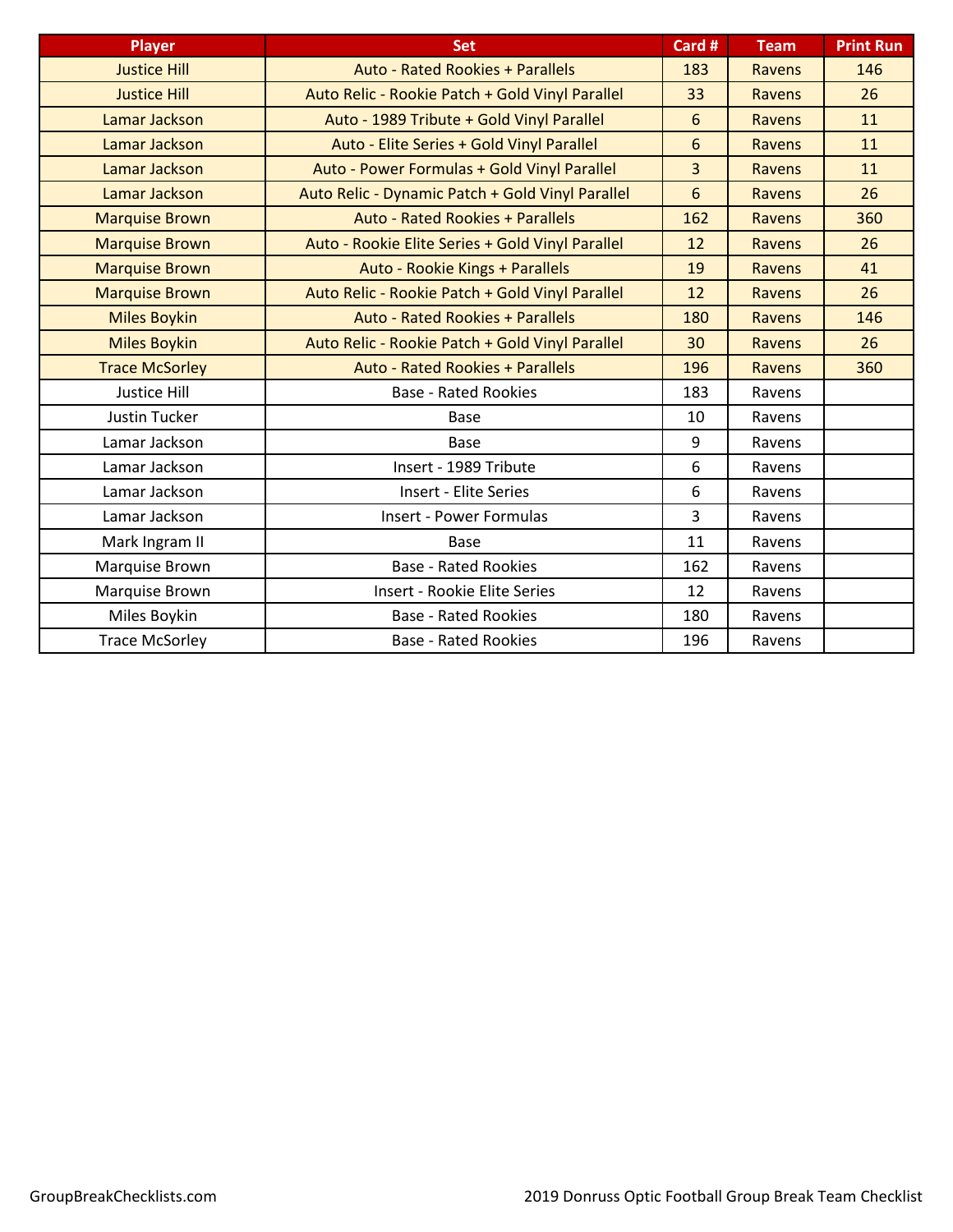| <b>Player</b>         | <b>Set</b>                                       | Card #         | <b>Team</b>   | <b>Print Run</b> |
|-----------------------|--------------------------------------------------|----------------|---------------|------------------|
| <b>Justice Hill</b>   | <b>Auto - Rated Rookies + Parallels</b>          | 183            | <b>Ravens</b> | 146              |
| <b>Justice Hill</b>   | Auto Relic - Rookie Patch + Gold Vinyl Parallel  | 33             | <b>Ravens</b> | 26               |
| Lamar Jackson         | Auto - 1989 Tribute + Gold Vinyl Parallel        | 6              | <b>Ravens</b> | 11               |
| Lamar Jackson         | Auto - Elite Series + Gold Vinyl Parallel        | 6              | <b>Ravens</b> | 11               |
| Lamar Jackson         | Auto - Power Formulas + Gold Vinyl Parallel      | $\overline{3}$ | <b>Ravens</b> | 11               |
| Lamar Jackson         | Auto Relic - Dynamic Patch + Gold Vinyl Parallel | 6              | <b>Ravens</b> | 26               |
| <b>Marquise Brown</b> | <b>Auto - Rated Rookies + Parallels</b>          | 162            | Ravens        | 360              |
| <b>Marquise Brown</b> | Auto - Rookie Elite Series + Gold Vinyl Parallel | 12             | Ravens        | 26               |
| <b>Marquise Brown</b> | Auto - Rookie Kings + Parallels                  | 19             | <b>Ravens</b> | 41               |
| <b>Marquise Brown</b> | Auto Relic - Rookie Patch + Gold Vinyl Parallel  | 12             | <b>Ravens</b> | 26               |
| <b>Miles Boykin</b>   | <b>Auto - Rated Rookies + Parallels</b>          | 180            | <b>Ravens</b> | 146              |
| <b>Miles Boykin</b>   | Auto Relic - Rookie Patch + Gold Vinyl Parallel  | 30             | <b>Ravens</b> | 26               |
| <b>Trace McSorley</b> | <b>Auto - Rated Rookies + Parallels</b>          | 196            | <b>Ravens</b> | 360              |
| <b>Justice Hill</b>   | <b>Base - Rated Rookies</b>                      | 183            | Ravens        |                  |
| <b>Justin Tucker</b>  | Base                                             | 10             | Ravens        |                  |
| Lamar Jackson         | <b>Base</b>                                      | 9              | Ravens        |                  |
| Lamar Jackson         | Insert - 1989 Tribute                            | 6              | Ravens        |                  |
| Lamar Jackson         | <b>Insert - Elite Series</b>                     | 6              | Ravens        |                  |
| Lamar Jackson         | <b>Insert - Power Formulas</b>                   | 3              | Ravens        |                  |
| Mark Ingram II        | <b>Base</b>                                      | 11             | Ravens        |                  |
| Marquise Brown        | <b>Base - Rated Rookies</b>                      | 162            | Ravens        |                  |
| Marquise Brown        | <b>Insert - Rookie Elite Series</b>              | 12             | Ravens        |                  |
| Miles Boykin          | <b>Base - Rated Rookies</b>                      | 180            | Ravens        |                  |
| <b>Trace McSorley</b> | <b>Base - Rated Rookies</b>                      | 196            | Ravens        |                  |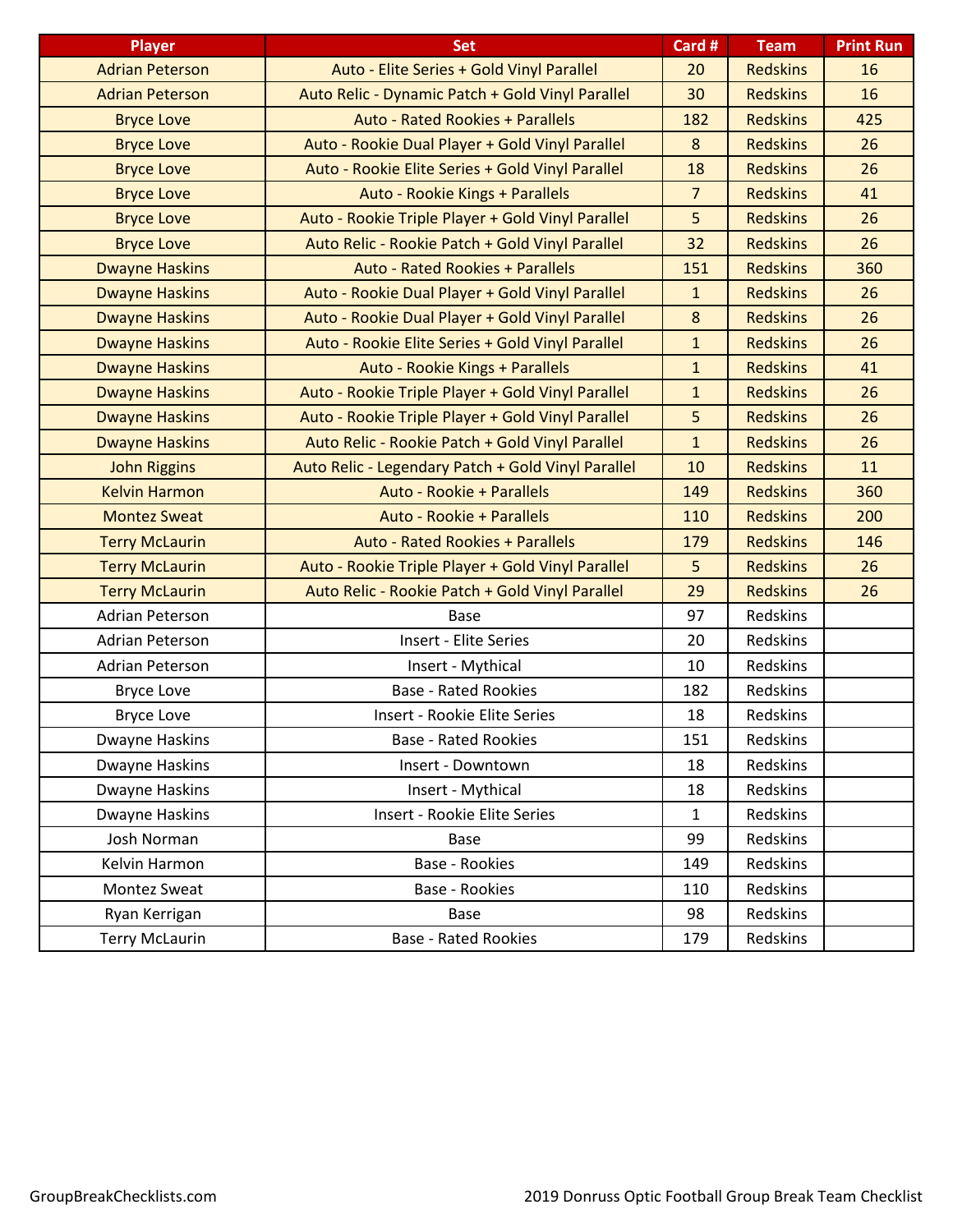| <b>Player</b>          | <b>Set</b>                                         | Card #         | <b>Team</b>     | <b>Print Run</b> |
|------------------------|----------------------------------------------------|----------------|-----------------|------------------|
| <b>Adrian Peterson</b> | Auto - Elite Series + Gold Vinyl Parallel          | 20             | <b>Redskins</b> | 16               |
| <b>Adrian Peterson</b> | Auto Relic - Dynamic Patch + Gold Vinyl Parallel   | 30             | <b>Redskins</b> | 16               |
| <b>Bryce Love</b>      | <b>Auto - Rated Rookies + Parallels</b>            | 182            | <b>Redskins</b> | 425              |
| <b>Bryce Love</b>      | Auto - Rookie Dual Player + Gold Vinyl Parallel    | 8              | <b>Redskins</b> | 26               |
| <b>Bryce Love</b>      | Auto - Rookie Elite Series + Gold Vinyl Parallel   | 18             | <b>Redskins</b> | 26               |
| <b>Bryce Love</b>      | Auto - Rookie Kings + Parallels                    | $\overline{7}$ | <b>Redskins</b> | 41               |
| <b>Bryce Love</b>      | Auto - Rookie Triple Player + Gold Vinyl Parallel  | 5              | <b>Redskins</b> | 26               |
| <b>Bryce Love</b>      | Auto Relic - Rookie Patch + Gold Vinyl Parallel    | 32             | <b>Redskins</b> | 26               |
| <b>Dwayne Haskins</b>  | <b>Auto - Rated Rookies + Parallels</b>            | 151            | <b>Redskins</b> | 360              |
| <b>Dwayne Haskins</b>  | Auto - Rookie Dual Player + Gold Vinyl Parallel    | $\mathbf{1}$   | <b>Redskins</b> | 26               |
| <b>Dwayne Haskins</b>  | Auto - Rookie Dual Player + Gold Vinyl Parallel    | 8              | <b>Redskins</b> | 26               |
| <b>Dwayne Haskins</b>  | Auto - Rookie Elite Series + Gold Vinyl Parallel   | $\mathbf{1}$   | <b>Redskins</b> | 26               |
| <b>Dwayne Haskins</b>  | Auto - Rookie Kings + Parallels                    | $\mathbf{1}$   | <b>Redskins</b> | 41               |
| <b>Dwayne Haskins</b>  | Auto - Rookie Triple Player + Gold Vinyl Parallel  | $\mathbf{1}$   | <b>Redskins</b> | 26               |
| <b>Dwayne Haskins</b>  | Auto - Rookie Triple Player + Gold Vinyl Parallel  | 5              | <b>Redskins</b> | 26               |
| <b>Dwayne Haskins</b>  | Auto Relic - Rookie Patch + Gold Vinyl Parallel    | $\mathbf{1}$   | <b>Redskins</b> | 26               |
| <b>John Riggins</b>    | Auto Relic - Legendary Patch + Gold Vinyl Parallel | 10             | <b>Redskins</b> | 11               |
| <b>Kelvin Harmon</b>   | Auto - Rookie + Parallels                          | 149            | <b>Redskins</b> | 360              |
| <b>Montez Sweat</b>    | Auto - Rookie + Parallels                          | 110            | <b>Redskins</b> | 200              |
| <b>Terry McLaurin</b>  | <b>Auto - Rated Rookies + Parallels</b>            | 179            | <b>Redskins</b> | 146              |
| <b>Terry McLaurin</b>  | Auto - Rookie Triple Player + Gold Vinyl Parallel  | 5              | <b>Redskins</b> | 26               |
| <b>Terry McLaurin</b>  | Auto Relic - Rookie Patch + Gold Vinyl Parallel    | 29             | <b>Redskins</b> | 26               |
| Adrian Peterson        | <b>Base</b>                                        | 97             | Redskins        |                  |
| <b>Adrian Peterson</b> | <b>Insert - Elite Series</b>                       | 20             | Redskins        |                  |
| <b>Adrian Peterson</b> | Insert - Mythical                                  | 10             | Redskins        |                  |
| <b>Bryce Love</b>      | <b>Base - Rated Rookies</b>                        | 182            | Redskins        |                  |
| <b>Bryce Love</b>      | Insert - Rookie Elite Series                       | 18             | Redskins        |                  |
| Dwayne Haskins         | <b>Base - Rated Rookies</b>                        | 151            | Redskins        |                  |
| Dwayne Haskins         | Insert - Downtown                                  | 18             | Redskins        |                  |
| Dwayne Haskins         | Insert - Mythical                                  | 18             | Redskins        |                  |
| Dwayne Haskins         | Insert - Rookie Elite Series                       | $\mathbf{1}$   | <b>Redskins</b> |                  |
| Josh Norman            | <b>Base</b>                                        | 99             | Redskins        |                  |
| Kelvin Harmon          | Base - Rookies                                     | 149            | Redskins        |                  |
| Montez Sweat           | Base - Rookies                                     | 110            | Redskins        |                  |
| Ryan Kerrigan          | Base                                               | 98             | Redskins        |                  |
| <b>Terry McLaurin</b>  | <b>Base - Rated Rookies</b>                        | 179            | Redskins        |                  |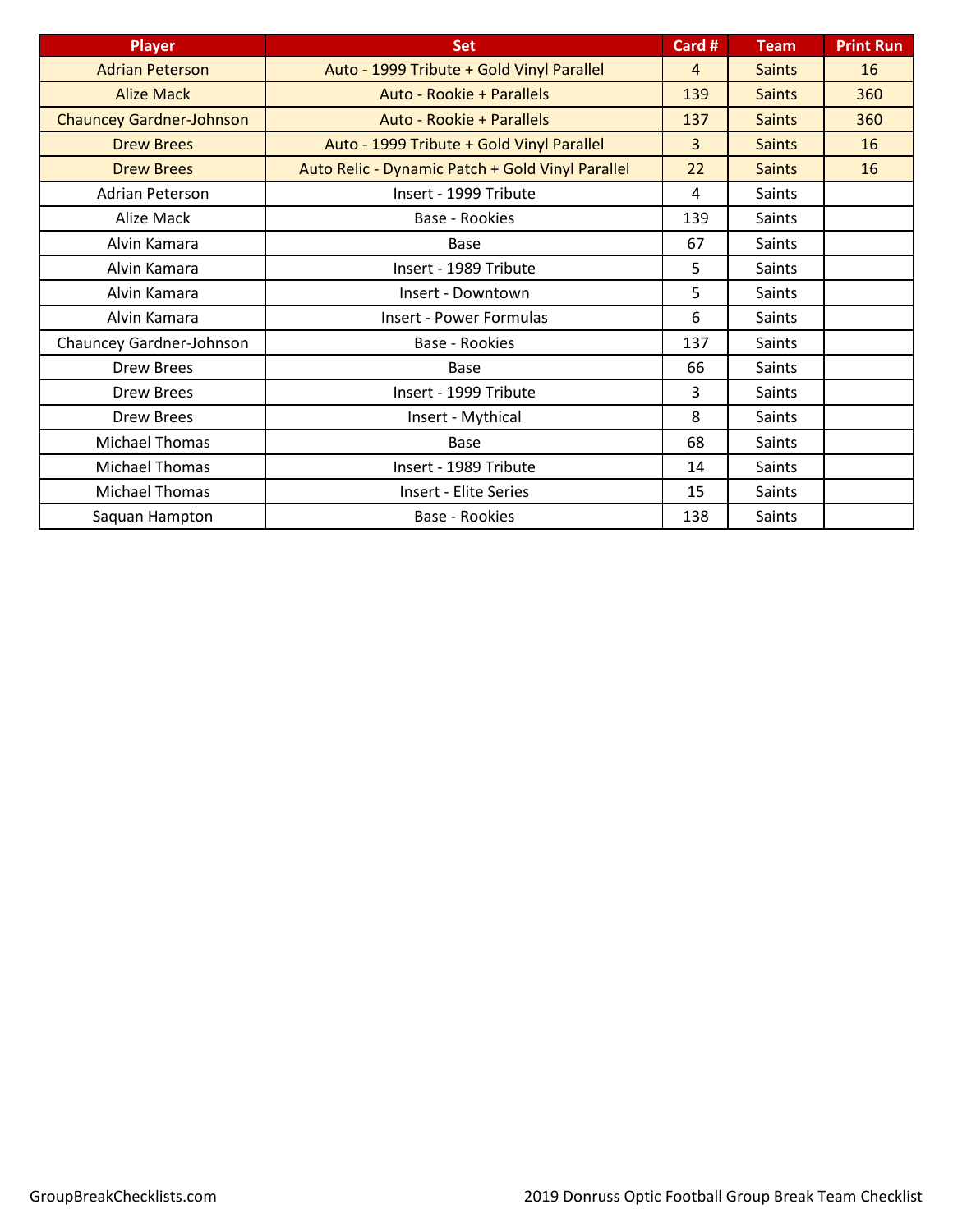| <b>Player</b>                   | <b>Set</b>                                       | Card #         | <b>Team</b>   | <b>Print Run</b> |
|---------------------------------|--------------------------------------------------|----------------|---------------|------------------|
| <b>Adrian Peterson</b>          | Auto - 1999 Tribute + Gold Vinyl Parallel        | $\overline{4}$ | <b>Saints</b> | 16               |
| <b>Alize Mack</b>               | Auto - Rookie + Parallels                        | 139            | <b>Saints</b> | 360              |
| <b>Chauncey Gardner-Johnson</b> | Auto - Rookie + Parallels                        | 137            | <b>Saints</b> | 360              |
| <b>Drew Brees</b>               | Auto - 1999 Tribute + Gold Vinyl Parallel        | $\overline{3}$ | <b>Saints</b> | 16               |
| <b>Drew Brees</b>               | Auto Relic - Dynamic Patch + Gold Vinyl Parallel | 22             | <b>Saints</b> | 16               |
| <b>Adrian Peterson</b>          | Insert - 1999 Tribute                            | 4              | Saints        |                  |
| Alize Mack                      | Base - Rookies                                   | 139            | Saints        |                  |
| Alvin Kamara                    | Base                                             | 67             | <b>Saints</b> |                  |
| Alvin Kamara                    | Insert - 1989 Tribute                            | 5.             | Saints        |                  |
| Alvin Kamara                    | Insert - Downtown                                | 5              | Saints        |                  |
| Alvin Kamara                    | <b>Insert - Power Formulas</b>                   | 6              | Saints        |                  |
| Chauncey Gardner-Johnson        | Base - Rookies                                   | 137            | Saints        |                  |
| Drew Brees                      | <b>Base</b>                                      | 66             | Saints        |                  |
| Drew Brees                      | Insert - 1999 Tribute                            | 3              | Saints        |                  |
| <b>Drew Brees</b>               | Insert - Mythical                                | 8              | Saints        |                  |
| <b>Michael Thomas</b>           | <b>Base</b>                                      | 68             | Saints        |                  |
| <b>Michael Thomas</b>           | Insert - 1989 Tribute                            | 14             | Saints        |                  |
| <b>Michael Thomas</b>           | <b>Insert - Elite Series</b>                     | 15             | Saints        |                  |
| Saquan Hampton                  | <b>Base - Rookies</b>                            | 138            | Saints        |                  |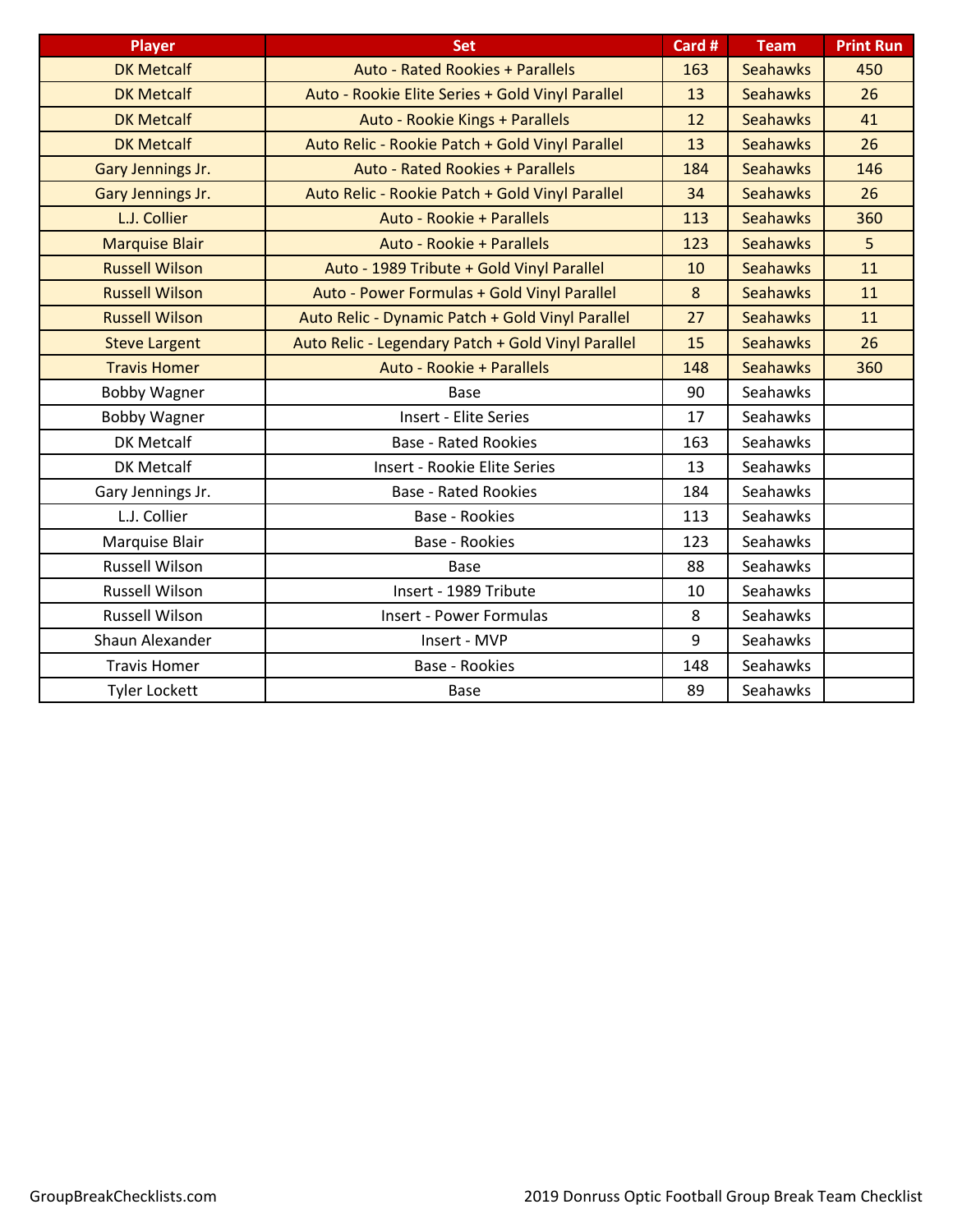| <b>Player</b>         | <b>Set</b>                                         | Card # | <b>Team</b>     | <b>Print Run</b> |
|-----------------------|----------------------------------------------------|--------|-----------------|------------------|
| <b>DK Metcalf</b>     | <b>Auto - Rated Rookies + Parallels</b>            | 163    | <b>Seahawks</b> | 450              |
| <b>DK Metcalf</b>     | Auto - Rookie Elite Series + Gold Vinyl Parallel   | 13     | <b>Seahawks</b> | 26               |
| <b>DK Metcalf</b>     | Auto - Rookie Kings + Parallels                    | 12     | <b>Seahawks</b> | 41               |
| <b>DK Metcalf</b>     | Auto Relic - Rookie Patch + Gold Vinyl Parallel    | 13     | <b>Seahawks</b> | 26               |
| Gary Jennings Jr.     | <b>Auto - Rated Rookies + Parallels</b>            | 184    | <b>Seahawks</b> | 146              |
| Gary Jennings Jr.     | Auto Relic - Rookie Patch + Gold Vinyl Parallel    | 34     | <b>Seahawks</b> | 26               |
| L.J. Collier          | Auto - Rookie + Parallels                          | 113    | <b>Seahawks</b> | 360              |
| <b>Marquise Blair</b> | Auto - Rookie + Parallels                          | 123    | <b>Seahawks</b> | 5 <sup>1</sup>   |
| <b>Russell Wilson</b> | Auto - 1989 Tribute + Gold Vinyl Parallel          | 10     | <b>Seahawks</b> | 11               |
| <b>Russell Wilson</b> | Auto - Power Formulas + Gold Vinyl Parallel        | 8      | <b>Seahawks</b> | 11               |
| <b>Russell Wilson</b> | Auto Relic - Dynamic Patch + Gold Vinyl Parallel   | 27     | <b>Seahawks</b> | 11               |
| <b>Steve Largent</b>  | Auto Relic - Legendary Patch + Gold Vinyl Parallel | 15     | <b>Seahawks</b> | 26               |
| <b>Travis Homer</b>   | Auto - Rookie + Parallels                          | 148    | <b>Seahawks</b> | 360              |
| <b>Bobby Wagner</b>   | <b>Base</b>                                        | 90     | Seahawks        |                  |
| <b>Bobby Wagner</b>   | <b>Insert - Elite Series</b>                       | 17     | Seahawks        |                  |
| <b>DK Metcalf</b>     | <b>Base - Rated Rookies</b>                        | 163    | Seahawks        |                  |
| <b>DK Metcalf</b>     | Insert - Rookie Elite Series                       | 13     | Seahawks        |                  |
| Gary Jennings Jr.     | <b>Base - Rated Rookies</b>                        | 184    | Seahawks        |                  |
| L.J. Collier          | <b>Base - Rookies</b>                              | 113    | Seahawks        |                  |
| Marquise Blair        | <b>Base - Rookies</b>                              | 123    | <b>Seahawks</b> |                  |
| <b>Russell Wilson</b> | Base                                               | 88     | Seahawks        |                  |
| <b>Russell Wilson</b> | Insert - 1989 Tribute                              | 10     | Seahawks        |                  |
| <b>Russell Wilson</b> | <b>Insert - Power Formulas</b>                     | 8      | Seahawks        |                  |
| Shaun Alexander       | Insert - MVP                                       | 9      | Seahawks        |                  |
| <b>Travis Homer</b>   | <b>Base - Rookies</b>                              | 148    | Seahawks        |                  |
| <b>Tyler Lockett</b>  | <b>Base</b>                                        | 89     | Seahawks        |                  |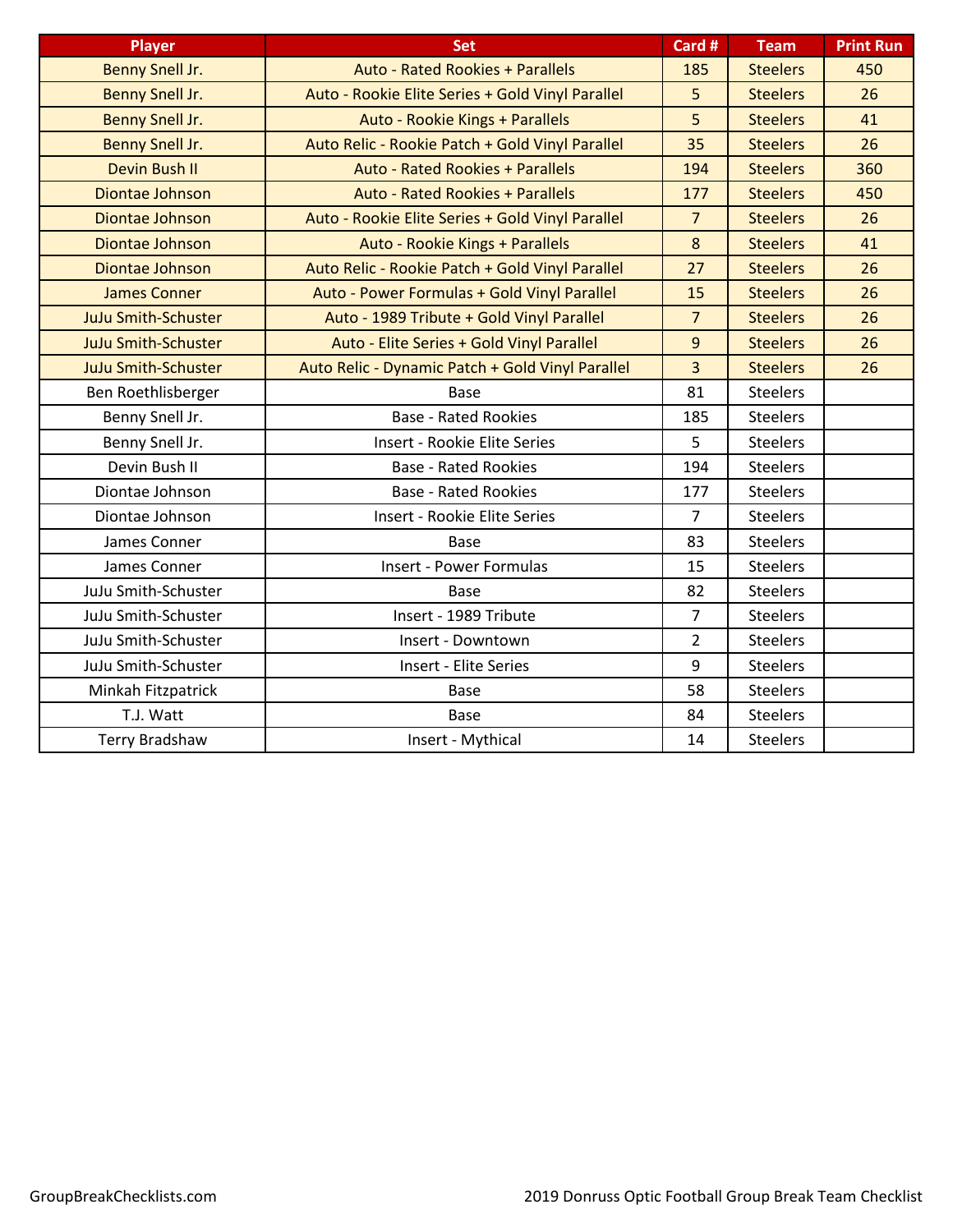| <b>Player</b>              | <b>Set</b>                                       | Card #         | <b>Team</b>     | <b>Print Run</b> |
|----------------------------|--------------------------------------------------|----------------|-----------------|------------------|
| Benny Snell Jr.            | <b>Auto - Rated Rookies + Parallels</b>          | 185            | <b>Steelers</b> | 450              |
| Benny Snell Jr.            | Auto - Rookie Elite Series + Gold Vinyl Parallel | 5              | <b>Steelers</b> | 26               |
| Benny Snell Jr.            | Auto - Rookie Kings + Parallels                  | 5              | <b>Steelers</b> | 41               |
| Benny Snell Jr.            | Auto Relic - Rookie Patch + Gold Vinyl Parallel  | 35             | <b>Steelers</b> | 26               |
| Devin Bush II              | <b>Auto - Rated Rookies + Parallels</b>          | 194            | <b>Steelers</b> | 360              |
| Diontae Johnson            | <b>Auto - Rated Rookies + Parallels</b>          | 177            | <b>Steelers</b> | 450              |
| Diontae Johnson            | Auto - Rookie Elite Series + Gold Vinyl Parallel | 7 <sup>1</sup> | <b>Steelers</b> | 26               |
| Diontae Johnson            | Auto - Rookie Kings + Parallels                  | 8              | <b>Steelers</b> | 41               |
| Diontae Johnson            | Auto Relic - Rookie Patch + Gold Vinyl Parallel  | 27             | <b>Steelers</b> | 26               |
| <b>James Conner</b>        | Auto - Power Formulas + Gold Vinyl Parallel      | 15             | <b>Steelers</b> | 26               |
| <b>JuJu Smith-Schuster</b> | Auto - 1989 Tribute + Gold Vinyl Parallel        | $\overline{7}$ | <b>Steelers</b> | 26               |
| <b>JuJu Smith-Schuster</b> | Auto - Elite Series + Gold Vinyl Parallel        | 9              | <b>Steelers</b> | 26               |
| <b>JuJu Smith-Schuster</b> | Auto Relic - Dynamic Patch + Gold Vinyl Parallel | $\overline{3}$ | <b>Steelers</b> | 26               |
| Ben Roethlisberger         | Base                                             | 81             | <b>Steelers</b> |                  |
| Benny Snell Jr.            | <b>Base - Rated Rookies</b>                      | 185            | <b>Steelers</b> |                  |
| Benny Snell Jr.            | Insert - Rookie Elite Series                     | 5              | <b>Steelers</b> |                  |
| Devin Bush II              | <b>Base - Rated Rookies</b>                      | 194            | <b>Steelers</b> |                  |
| Diontae Johnson            | <b>Base - Rated Rookies</b>                      | 177            | <b>Steelers</b> |                  |
| Diontae Johnson            | Insert - Rookie Elite Series                     | 7              | <b>Steelers</b> |                  |
| James Conner               | Base                                             | 83             | <b>Steelers</b> |                  |
| James Conner               | <b>Insert - Power Formulas</b>                   | 15             | <b>Steelers</b> |                  |
| JuJu Smith-Schuster        | <b>Base</b>                                      | 82             | <b>Steelers</b> |                  |
| JuJu Smith-Schuster        | Insert - 1989 Tribute                            | $\overline{7}$ | <b>Steelers</b> |                  |
| JuJu Smith-Schuster        | Insert - Downtown                                | $\overline{2}$ | <b>Steelers</b> |                  |
| JuJu Smith-Schuster        | Insert - Elite Series                            | 9              | <b>Steelers</b> |                  |
| Minkah Fitzpatrick         | <b>Base</b>                                      | 58             | <b>Steelers</b> |                  |
| T.J. Watt                  | <b>Base</b>                                      | 84             | <b>Steelers</b> |                  |
| <b>Terry Bradshaw</b>      | Insert - Mythical                                | 14             | <b>Steelers</b> |                  |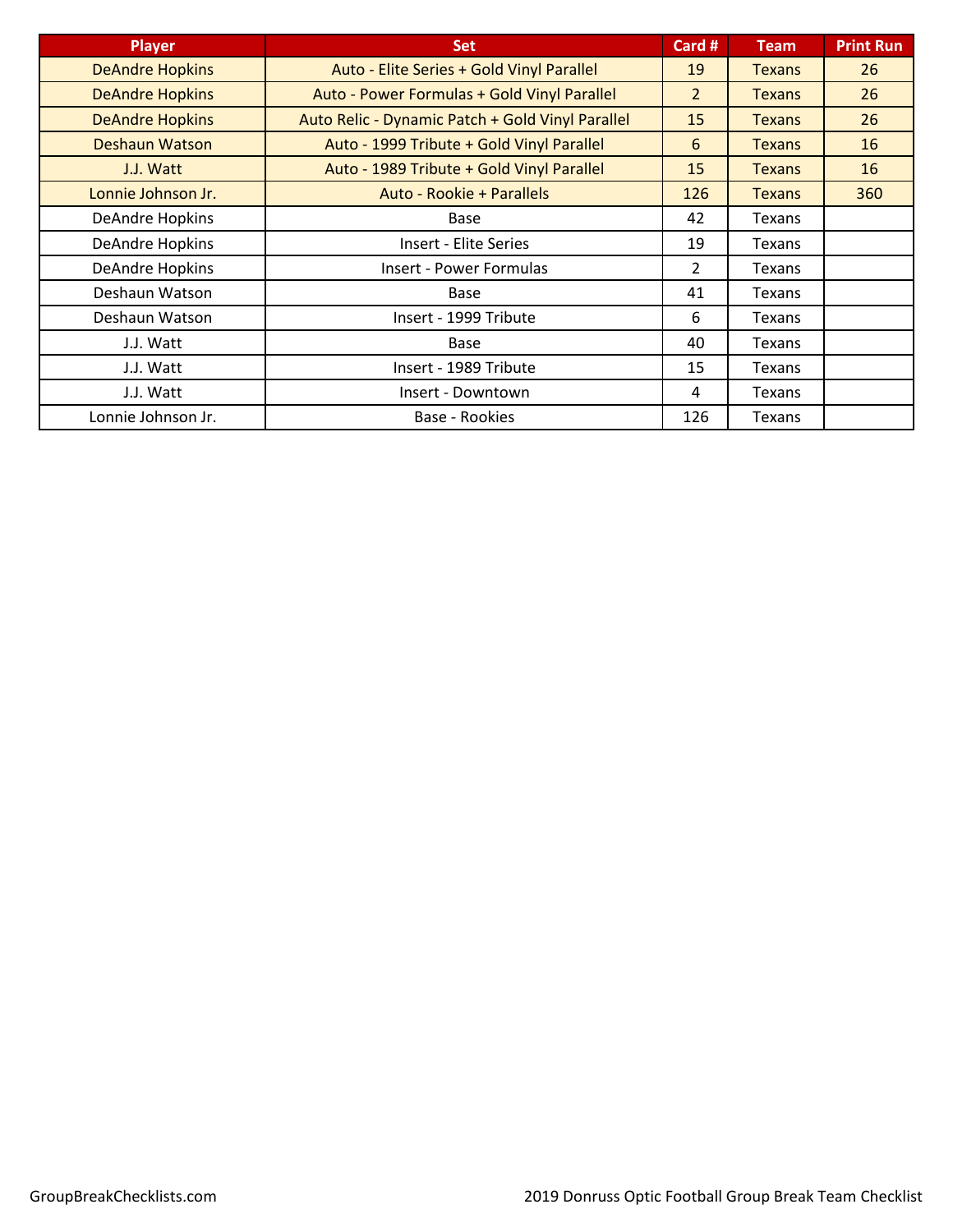| <b>Player</b>          | <b>Set</b>                                       | Card #         | <b>Team</b>   | <b>Print Run</b> |
|------------------------|--------------------------------------------------|----------------|---------------|------------------|
| <b>DeAndre Hopkins</b> | Auto - Elite Series + Gold Vinyl Parallel        | 19             | <b>Texans</b> | 26               |
| <b>DeAndre Hopkins</b> | Auto - Power Formulas + Gold Vinyl Parallel      | $\overline{2}$ | <b>Texans</b> | 26               |
| <b>DeAndre Hopkins</b> | Auto Relic - Dynamic Patch + Gold Vinyl Parallel | 15             | <b>Texans</b> | 26               |
| <b>Deshaun Watson</b>  | Auto - 1999 Tribute + Gold Vinyl Parallel        | 6              | <b>Texans</b> | 16               |
| J.J. Watt              | Auto - 1989 Tribute + Gold Vinyl Parallel        | 15             | <b>Texans</b> | 16               |
| Lonnie Johnson Jr.     | Auto - Rookie + Parallels                        | 126            | <b>Texans</b> | 360              |
| DeAndre Hopkins        | Base                                             | 42             | Texans        |                  |
| <b>DeAndre Hopkins</b> | Insert - Elite Series                            | 19             | <b>Texans</b> |                  |
| <b>DeAndre Hopkins</b> | <b>Insert - Power Formulas</b>                   | 2              | <b>Texans</b> |                  |
| Deshaun Watson         | Base                                             | 41             | <b>Texans</b> |                  |
| Deshaun Watson         | Insert - 1999 Tribute                            | 6              | <b>Texans</b> |                  |
| J.J. Watt              | Base                                             | 40             | <b>Texans</b> |                  |
| J.J. Watt              | Insert - 1989 Tribute                            | 15             | Texans        |                  |
| J.J. Watt              | Insert - Downtown                                | 4              | Texans        |                  |
| Lonnie Johnson Jr.     | Base - Rookies                                   | 126            | Texans        |                  |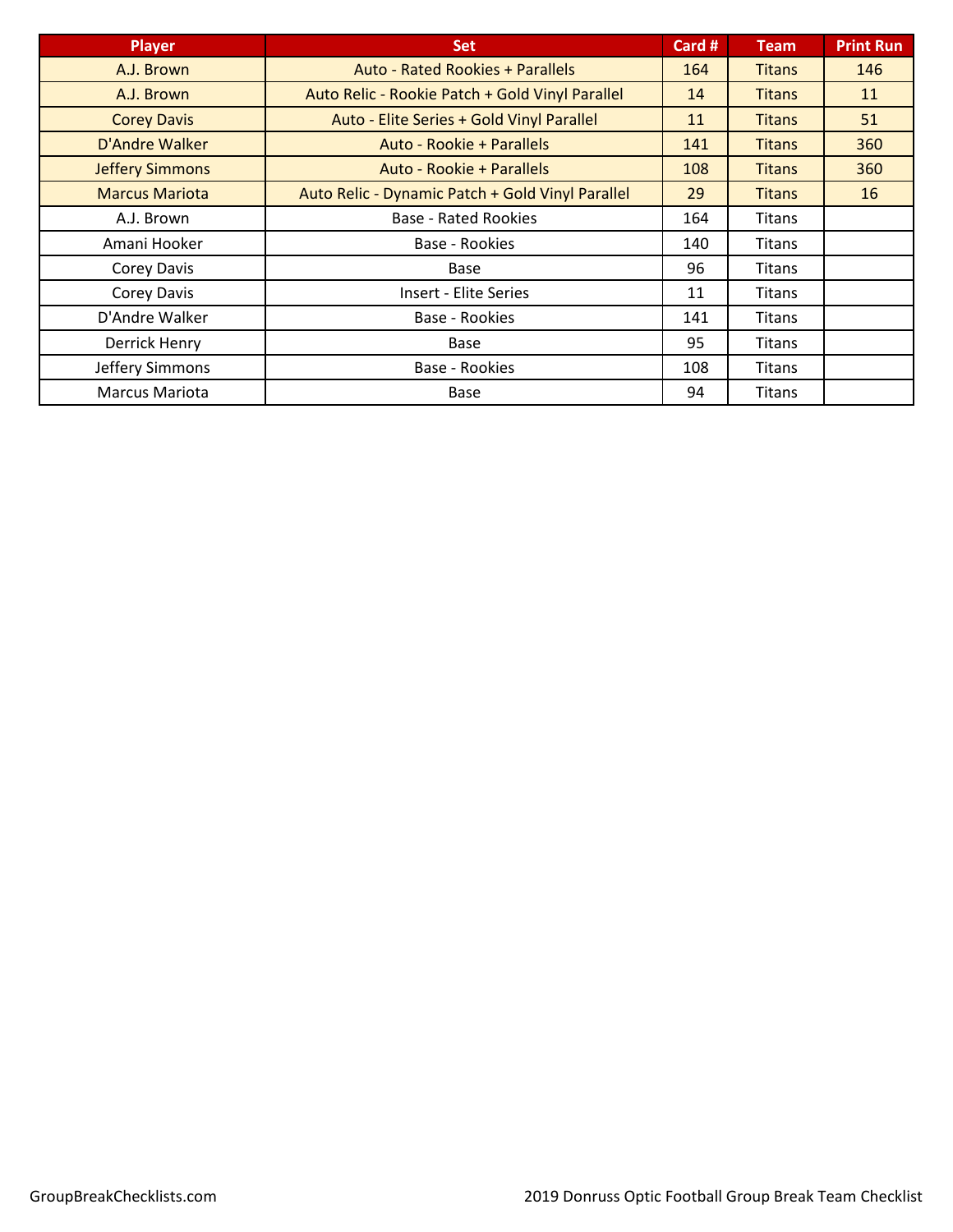| <b>Player</b>          | <b>Set</b>                                       | Card # | <b>Team</b>   | <b>Print Run</b> |
|------------------------|--------------------------------------------------|--------|---------------|------------------|
| A.J. Brown             | <b>Auto - Rated Rookies + Parallels</b>          | 164    | <b>Titans</b> | 146              |
| A.J. Brown             | Auto Relic - Rookie Patch + Gold Vinyl Parallel  | 14     | <b>Titans</b> | 11               |
| <b>Corey Davis</b>     | Auto - Elite Series + Gold Vinyl Parallel        | 11     | <b>Titans</b> | 51               |
| D'Andre Walker         | Auto - Rookie + Parallels                        | 141    | <b>Titans</b> | 360              |
| <b>Jeffery Simmons</b> | Auto - Rookie + Parallels                        | 108    | <b>Titans</b> | 360              |
| <b>Marcus Mariota</b>  | Auto Relic - Dynamic Patch + Gold Vinyl Parallel | 29     | <b>Titans</b> | 16               |
| A.J. Brown             | <b>Base - Rated Rookies</b>                      | 164    | <b>Titans</b> |                  |
| Amani Hooker           | Base - Rookies                                   | 140    | <b>Titans</b> |                  |
| Corey Davis            | Base                                             | 96     | <b>Titans</b> |                  |
| Corey Davis            | <b>Insert - Elite Series</b>                     | 11     | Titans        |                  |
| D'Andre Walker         | Base - Rookies                                   | 141    | Titans        |                  |
| Derrick Henry          | Base                                             | 95     | <b>Titans</b> |                  |
| Jeffery Simmons        | Base - Rookies                                   | 108    | <b>Titans</b> |                  |
| Marcus Mariota         | Base                                             | 94     | <b>Titans</b> |                  |